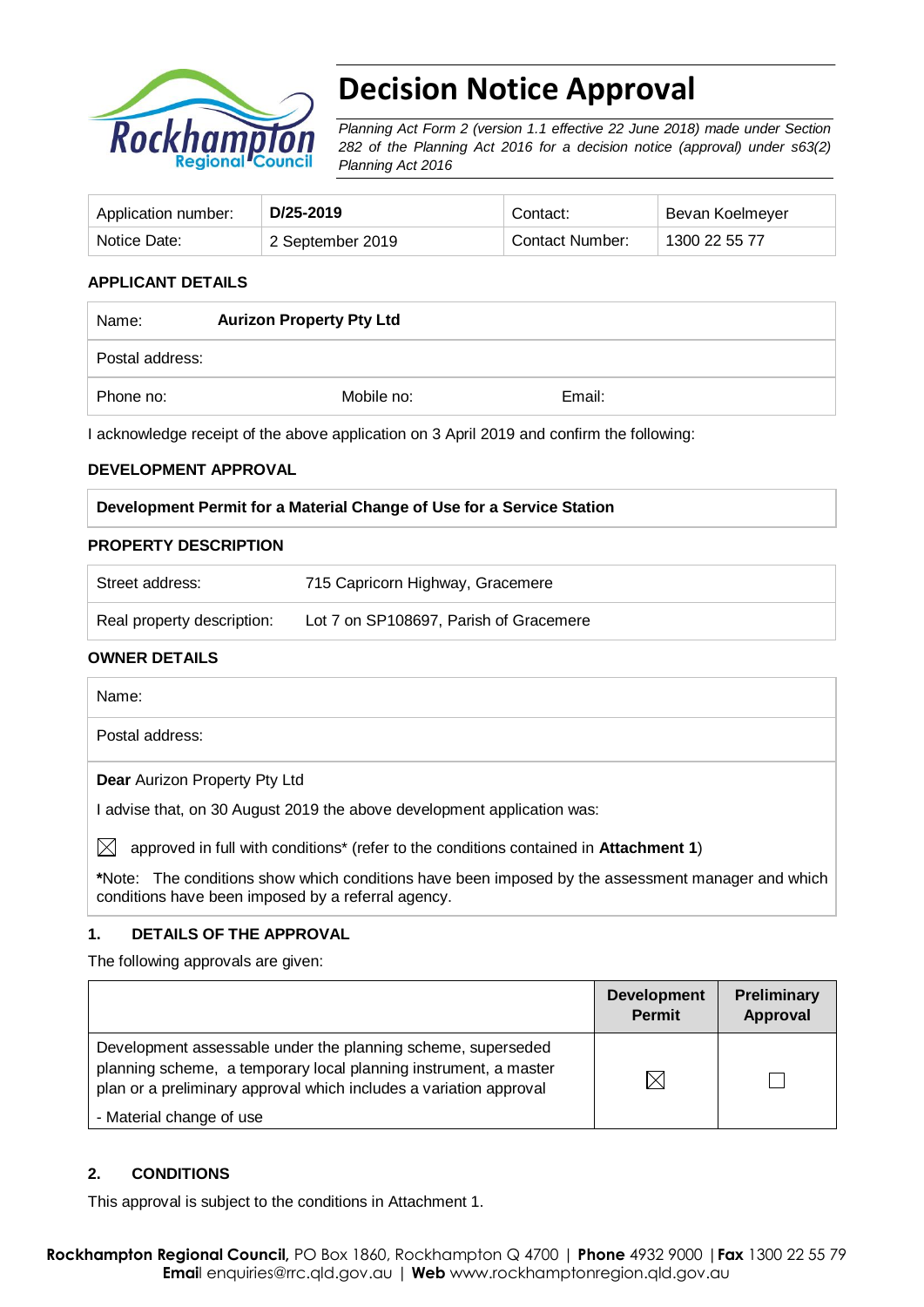

# **Decision Notice Approval**

*Planning Act Form 2 (version 1.1 effective 22 June 2018) made under Section 282 of the Planning Act 2016 for a decision notice (approval) under s63(2) Planning Act 2016*

| Application number: | D/25-2019        | Contact:        | Bevan Koelmeyer |
|---------------------|------------------|-----------------|-----------------|
| Notice Date:        | 2 September 2019 | Contact Number: | 1300 22 55 77   |

# **APPLICANT DETAILS**

| Name:           | <b>Aurizon Property Pty Ltd</b> |        |  |
|-----------------|---------------------------------|--------|--|
| Postal address: |                                 |        |  |
| Phone no:       | Mobile no:                      | Email: |  |

I acknowledge receipt of the above application on 3 April 2019 and confirm the following:

#### **DEVELOPMENT APPROVAL**

#### **Development Permit for a Material Change of Use for a Service Station**

#### **PROPERTY DESCRIPTION**

| Street address:            | 715 Capricorn Highway, Gracemere       |  |
|----------------------------|----------------------------------------|--|
| Real property description: | Lot 7 on SP108697, Parish of Gracemere |  |
|                            |                                        |  |

### **OWNER DETAILS**

| Name:                                                                                                |
|------------------------------------------------------------------------------------------------------|
| Postal address:                                                                                      |
| <b>Dear</b> Aurizon Property Pty Ltd                                                                 |
| I advise that, on 30 August 2019 the above development application was:                              |
| $\boxtimes$<br>approved in full with conditions* (refer to the conditions contained in Attachment 1) |
| *Note: The conditions show which conditions have been imposed by the assessment manager and which    |

# **1. DETAILS OF THE APPROVAL**

conditions have been imposed by a referral agency.

The following approvals are given:

|                                                                                                                                                                                                        | <b>Development</b><br><b>Permit</b> | <b>Preliminary</b><br>Approval |
|--------------------------------------------------------------------------------------------------------------------------------------------------------------------------------------------------------|-------------------------------------|--------------------------------|
| Development assessable under the planning scheme, superseded<br>planning scheme, a temporary local planning instrument, a master<br>plan or a preliminary approval which includes a variation approval | $\boxtimes$                         |                                |
| - Material change of use                                                                                                                                                                               |                                     |                                |

#### **2. CONDITIONS**

This approval is subject to the conditions in Attachment 1.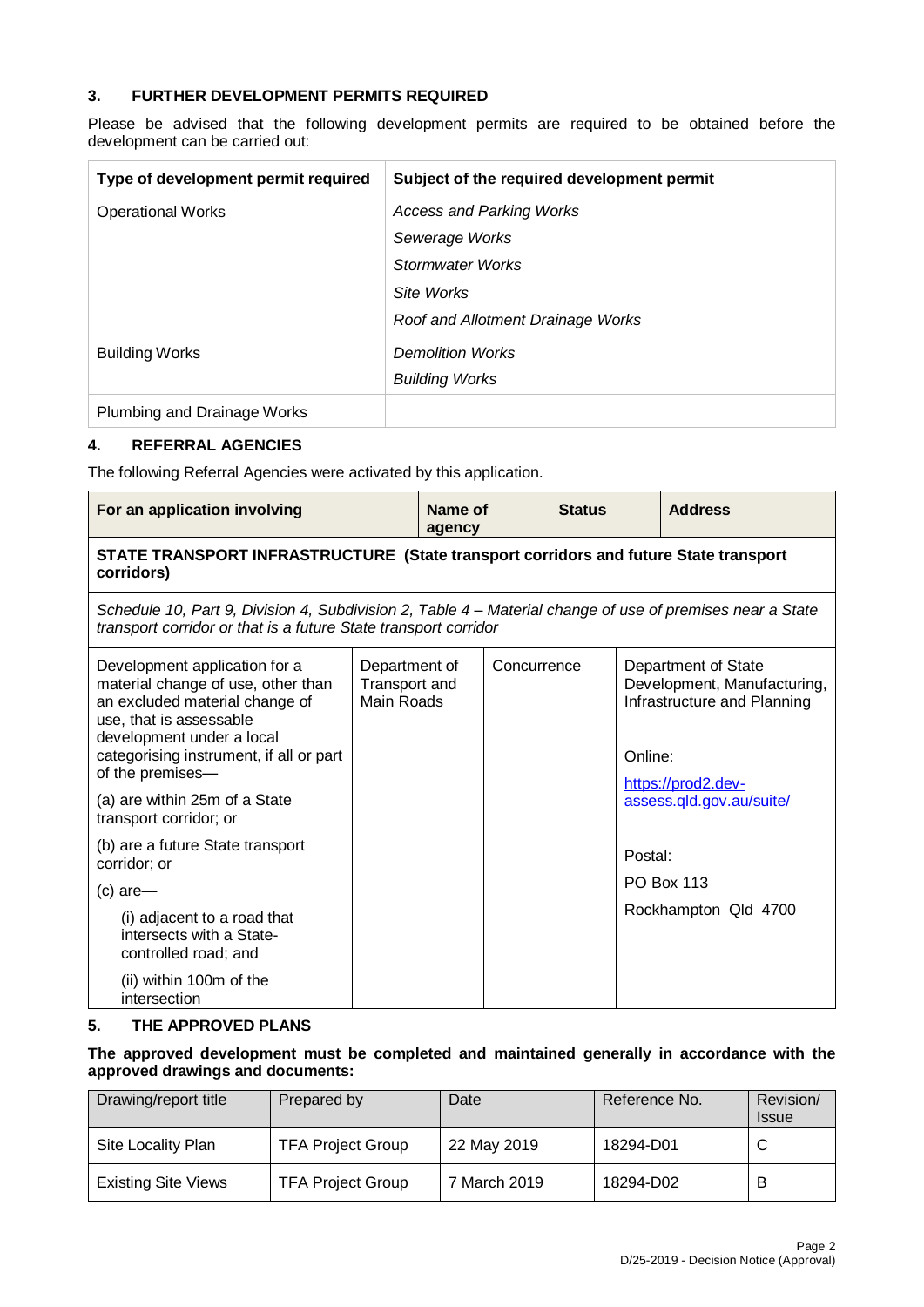# **3. FURTHER DEVELOPMENT PERMITS REQUIRED**

Please be advised that the following development permits are required to be obtained before the development can be carried out:

| Type of development permit required | Subject of the required development permit |
|-------------------------------------|--------------------------------------------|
| <b>Operational Works</b>            | <b>Access and Parking Works</b>            |
|                                     | Sewerage Works                             |
|                                     | Stormwater Works                           |
|                                     | Site Works                                 |
|                                     | Roof and Allotment Drainage Works          |
| <b>Building Works</b>               | <b>Demolition Works</b>                    |
|                                     | <b>Building Works</b>                      |
| Plumbing and Drainage Works         |                                            |

#### **4. REFERRAL AGENCIES**

The following Referral Agencies were activated by this application.

|                                                                                                    |  | <b>Status</b>                                                                        | <b>Address</b>                                                                                                                                                  |
|----------------------------------------------------------------------------------------------------|--|--------------------------------------------------------------------------------------|-----------------------------------------------------------------------------------------------------------------------------------------------------------------|
| STATE TRANSPORT INFRASTRUCTURE (State transport corridors and future State transport<br>corridors) |  |                                                                                      |                                                                                                                                                                 |
|                                                                                                    |  |                                                                                      |                                                                                                                                                                 |
| Department of<br>Transport and<br>Main Roads                                                       |  |                                                                                      | Department of State<br>Development, Manufacturing,<br>Infrastructure and Planning<br>https://prod2.dev-                                                         |
|                                                                                                    |  | Name of<br>agency<br>transport corridor or that is a future State transport corridor | Schedule 10, Part 9, Division 4, Subdivision 2, Table 4 – Material change of use of premises near a State<br>Concurrence<br>Online:<br>assess.gld.gov.au/suite/ |

| (a) are within 25m of a State<br>transport corridor; or                         |  | assess.gld.gov.au/suite/ |
|---------------------------------------------------------------------------------|--|--------------------------|
| (b) are a future State transport<br>corridor; or                                |  | Postal:                  |
| $(c)$ are-                                                                      |  | <b>PO Box 113</b>        |
| (i) adjacent to a road that<br>intersects with a State-<br>controlled road; and |  | Rockhampton Qld 4700     |
| (ii) within 100m of the<br>intersection                                         |  |                          |

#### **5. THE APPROVED PLANS**

**The approved development must be completed and maintained generally in accordance with the approved drawings and documents:**

| Drawing/report title       | Prepared by              | Date         | Reference No. | Revision/<br><b>Issue</b> |
|----------------------------|--------------------------|--------------|---------------|---------------------------|
| Site Locality Plan         | <b>TFA Project Group</b> | 22 May 2019  | 18294-D01     | ັ                         |
| <b>Existing Site Views</b> | <b>TFA Project Group</b> | 7 March 2019 | 18294-D02     |                           |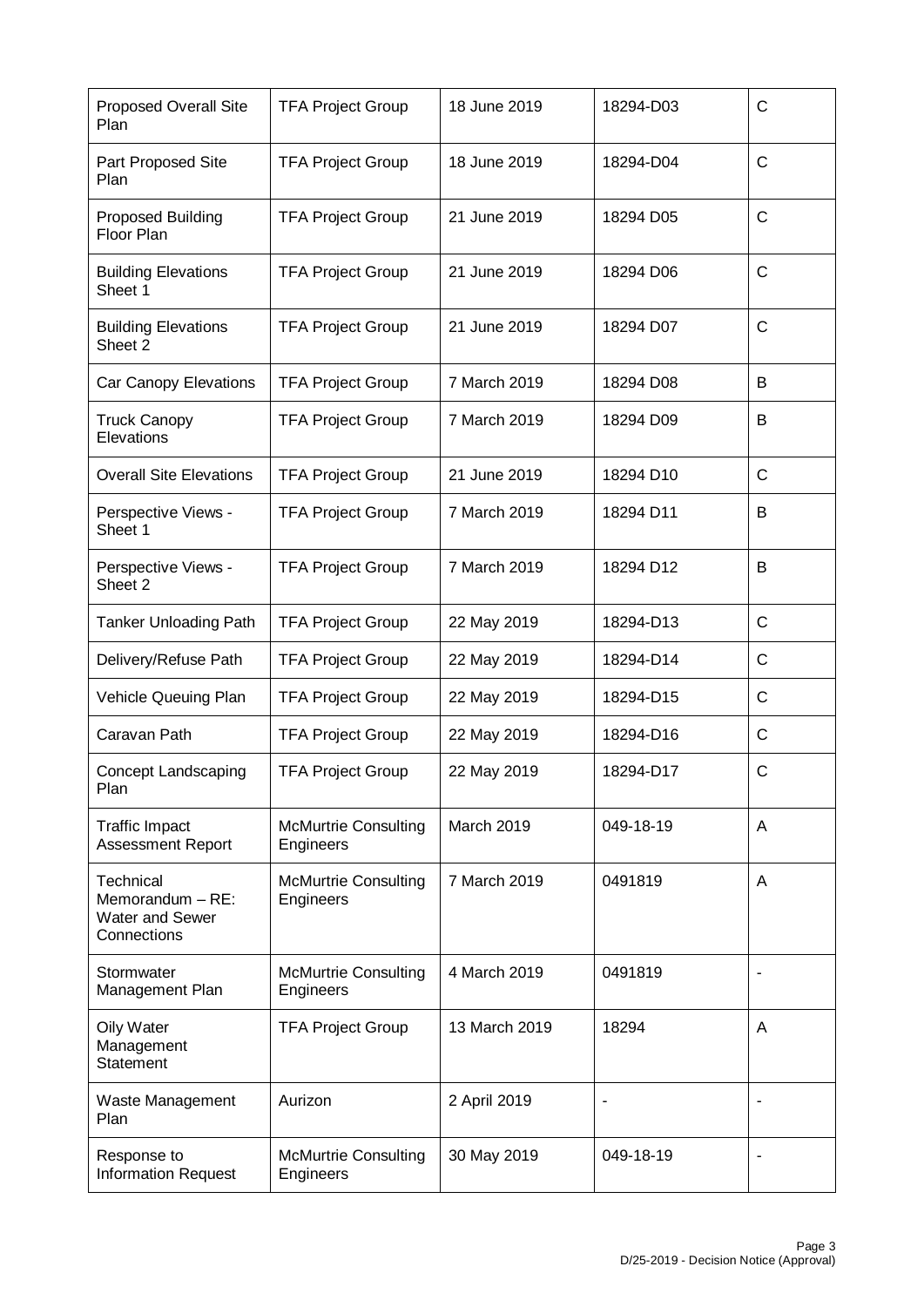| <b>Proposed Overall Site</b><br>Plan                                   | <b>TFA Project Group</b>                 | 18 June 2019  | 18294-D03 | $\mathsf{C}$ |
|------------------------------------------------------------------------|------------------------------------------|---------------|-----------|--------------|
| Part Proposed Site<br>Plan                                             | <b>TFA Project Group</b>                 | 18 June 2019  | 18294-D04 | $\mathsf{C}$ |
| Proposed Building<br>Floor Plan                                        | <b>TFA Project Group</b>                 | 21 June 2019  | 18294 D05 | $\mathsf{C}$ |
| <b>Building Elevations</b><br>Sheet 1                                  | <b>TFA Project Group</b>                 | 21 June 2019  | 18294 D06 | $\mathsf{C}$ |
| <b>Building Elevations</b><br>Sheet 2                                  | <b>TFA Project Group</b>                 | 21 June 2019  | 18294 D07 | $\mathsf{C}$ |
| Car Canopy Elevations                                                  | <b>TFA Project Group</b>                 | 7 March 2019  | 18294 D08 | B            |
| <b>Truck Canopy</b><br>Elevations                                      | <b>TFA Project Group</b>                 | 7 March 2019  | 18294 D09 | B            |
| <b>Overall Site Elevations</b>                                         | <b>TFA Project Group</b>                 | 21 June 2019  | 18294 D10 | C            |
| Perspective Views -<br>Sheet 1                                         | <b>TFA Project Group</b>                 | 7 March 2019  | 18294 D11 | B            |
| Perspective Views -<br>Sheet 2                                         | <b>TFA Project Group</b>                 | 7 March 2019  | 18294 D12 | B            |
| <b>Tanker Unloading Path</b>                                           | <b>TFA Project Group</b>                 | 22 May 2019   | 18294-D13 | $\mathsf{C}$ |
| Delivery/Refuse Path                                                   | <b>TFA Project Group</b>                 | 22 May 2019   | 18294-D14 | $\mathsf{C}$ |
| Vehicle Queuing Plan                                                   | <b>TFA Project Group</b>                 | 22 May 2019   | 18294-D15 | $\mathsf{C}$ |
| Caravan Path                                                           | <b>TFA Project Group</b>                 | 22 May 2019   | 18294-D16 | $\mathsf{C}$ |
| Concept Landscaping<br>Plan                                            | <b>TFA Project Group</b>                 | 22 May 2019   | 18294-D17 | C            |
| <b>Traffic Impact</b><br>Assessment Report                             | <b>McMurtrie Consulting</b><br>Engineers | March 2019    | 049-18-19 | A            |
| Technical<br>Memorandum - RE:<br><b>Water and Sewer</b><br>Connections | <b>McMurtrie Consulting</b><br>Engineers | 7 March 2019  | 0491819   | A            |
| Stormwater<br>Management Plan                                          | <b>McMurtrie Consulting</b><br>Engineers | 4 March 2019  | 0491819   |              |
| Oily Water<br>Management<br>Statement                                  | <b>TFA Project Group</b>                 | 13 March 2019 | 18294     | A            |
| Waste Management<br>Plan                                               | Aurizon                                  | 2 April 2019  |           |              |
| Response to<br><b>Information Request</b>                              | <b>McMurtrie Consulting</b><br>Engineers | 30 May 2019   | 049-18-19 |              |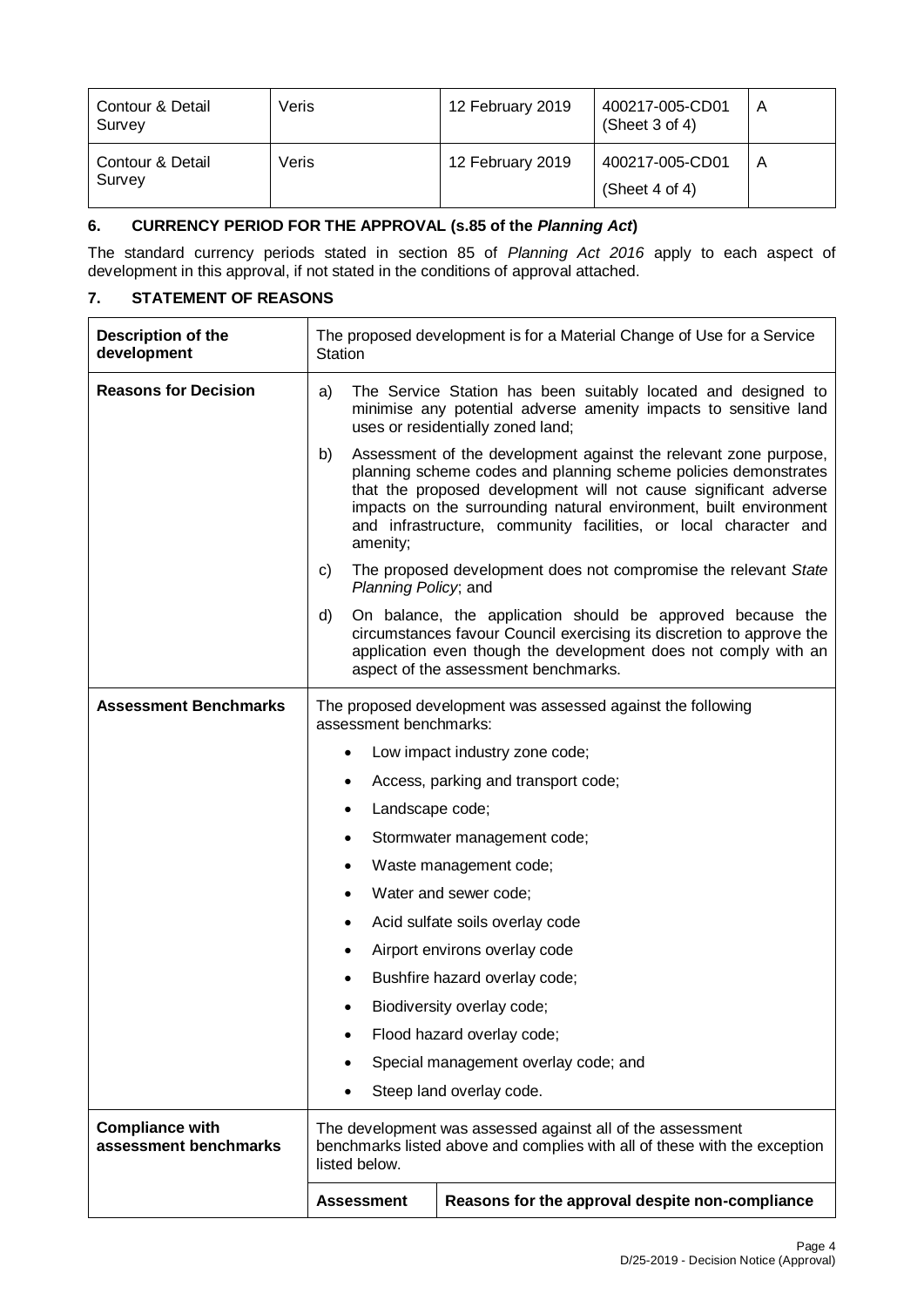| <b>Contour &amp; Detail</b><br>Survey | Veris | 12 February 2019 | 400217-005-CD01<br>(Sheet $3$ of $4$ ) | A |
|---------------------------------------|-------|------------------|----------------------------------------|---|
| Contour & Detail<br>Survey            | Veris | 12 February 2019 | 400217-005-CD01<br>(Sheet 4 of 4)      | A |

# **6. CURRENCY PERIOD FOR THE APPROVAL (s.85 of the** *Planning Act***)**

The standard currency periods stated in section 85 of *Planning Act 2016* apply to each aspect of development in this approval, if not stated in the conditions of approval attached.

# **7. STATEMENT OF REASONS**

| Description of the<br>development               | The proposed development is for a Material Change of Use for a Service<br>Station                                                                                                                                                                                                                                                                                  |                                                                                                                                                                                                                                                |  |
|-------------------------------------------------|--------------------------------------------------------------------------------------------------------------------------------------------------------------------------------------------------------------------------------------------------------------------------------------------------------------------------------------------------------------------|------------------------------------------------------------------------------------------------------------------------------------------------------------------------------------------------------------------------------------------------|--|
| <b>Reasons for Decision</b>                     | The Service Station has been suitably located and designed to<br>a)<br>minimise any potential adverse amenity impacts to sensitive land<br>uses or residentially zoned land;                                                                                                                                                                                       |                                                                                                                                                                                                                                                |  |
|                                                 | Assessment of the development against the relevant zone purpose,<br>b)<br>planning scheme codes and planning scheme policies demonstrates<br>that the proposed development will not cause significant adverse<br>impacts on the surrounding natural environment, built environment<br>and infrastructure, community facilities, or local character and<br>amenity; |                                                                                                                                                                                                                                                |  |
|                                                 | C)<br>Planning Policy, and                                                                                                                                                                                                                                                                                                                                         | The proposed development does not compromise the relevant State                                                                                                                                                                                |  |
|                                                 | d)                                                                                                                                                                                                                                                                                                                                                                 | On balance, the application should be approved because the<br>circumstances favour Council exercising its discretion to approve the<br>application even though the development does not comply with an<br>aspect of the assessment benchmarks. |  |
| <b>Assessment Benchmarks</b>                    | The proposed development was assessed against the following<br>assessment benchmarks:                                                                                                                                                                                                                                                                              |                                                                                                                                                                                                                                                |  |
|                                                 | $\bullet$                                                                                                                                                                                                                                                                                                                                                          | Low impact industry zone code;                                                                                                                                                                                                                 |  |
|                                                 | ٠                                                                                                                                                                                                                                                                                                                                                                  | Access, parking and transport code;                                                                                                                                                                                                            |  |
|                                                 | Landscape code;<br>٠                                                                                                                                                                                                                                                                                                                                               |                                                                                                                                                                                                                                                |  |
|                                                 | Stormwater management code;<br>٠                                                                                                                                                                                                                                                                                                                                   |                                                                                                                                                                                                                                                |  |
|                                                 | Waste management code;<br>٠                                                                                                                                                                                                                                                                                                                                        |                                                                                                                                                                                                                                                |  |
|                                                 | Water and sewer code;<br>$\bullet$                                                                                                                                                                                                                                                                                                                                 |                                                                                                                                                                                                                                                |  |
|                                                 | ٠                                                                                                                                                                                                                                                                                                                                                                  | Acid sulfate soils overlay code                                                                                                                                                                                                                |  |
|                                                 | $\bullet$                                                                                                                                                                                                                                                                                                                                                          | Airport environs overlay code                                                                                                                                                                                                                  |  |
|                                                 | ٠                                                                                                                                                                                                                                                                                                                                                                  | Bushfire hazard overlay code;                                                                                                                                                                                                                  |  |
|                                                 | ٠                                                                                                                                                                                                                                                                                                                                                                  | Biodiversity overlay code;                                                                                                                                                                                                                     |  |
|                                                 |                                                                                                                                                                                                                                                                                                                                                                    | Flood hazard overlay code;                                                                                                                                                                                                                     |  |
|                                                 | ٠                                                                                                                                                                                                                                                                                                                                                                  | Special management overlay code; and                                                                                                                                                                                                           |  |
|                                                 |                                                                                                                                                                                                                                                                                                                                                                    | Steep land overlay code.                                                                                                                                                                                                                       |  |
| <b>Compliance with</b><br>assessment benchmarks | The development was assessed against all of the assessment<br>benchmarks listed above and complies with all of these with the exception<br>listed below.                                                                                                                                                                                                           |                                                                                                                                                                                                                                                |  |
|                                                 | <b>Assessment</b>                                                                                                                                                                                                                                                                                                                                                  | Reasons for the approval despite non-compliance                                                                                                                                                                                                |  |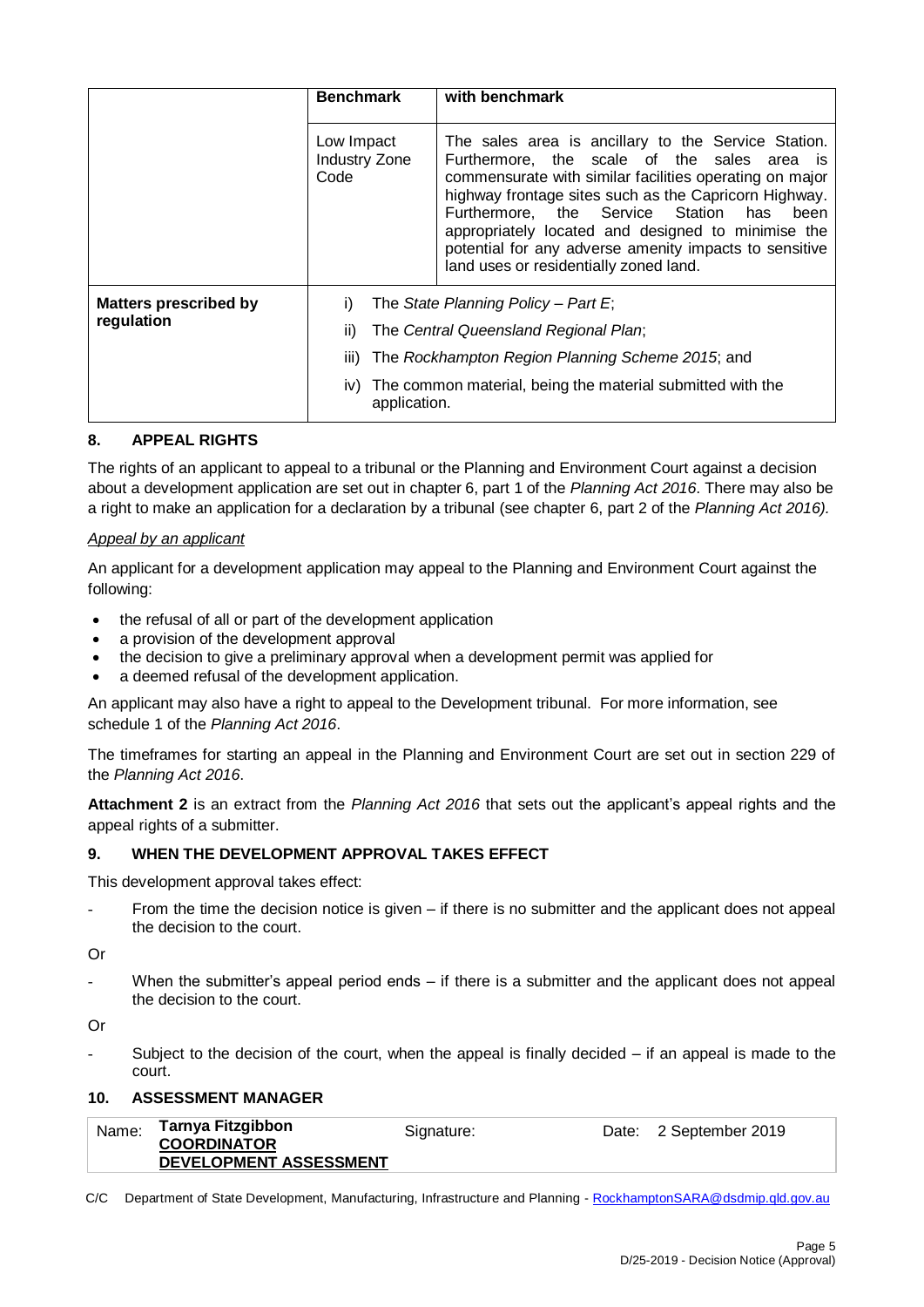|                                            | <b>Benchmark</b>                                         | with benchmark                                                                                                                                                                                                                                                                                                                                                                                                                      |  |
|--------------------------------------------|----------------------------------------------------------|-------------------------------------------------------------------------------------------------------------------------------------------------------------------------------------------------------------------------------------------------------------------------------------------------------------------------------------------------------------------------------------------------------------------------------------|--|
| Low Impact<br><b>Industry Zone</b><br>Code |                                                          | The sales area is ancillary to the Service Station.<br>Furthermore, the scale of the sales area is<br>commensurate with similar facilities operating on major<br>highway frontage sites such as the Capricorn Highway.<br>Furthermore, the Service Station<br>has<br>been<br>appropriately located and designed to minimise the<br>potential for any adverse amenity impacts to sensitive<br>land uses or residentially zoned land. |  |
| <b>Matters prescribed by</b>               | i)                                                       | The State Planning Policy – Part E;                                                                                                                                                                                                                                                                                                                                                                                                 |  |
| regulation                                 | The Central Queensland Regional Plan;<br>ii)             |                                                                                                                                                                                                                                                                                                                                                                                                                                     |  |
|                                            | The Rockhampton Region Planning Scheme 2015; and<br>iii) |                                                                                                                                                                                                                                                                                                                                                                                                                                     |  |
|                                            | iv)<br>application.                                      | The common material, being the material submitted with the                                                                                                                                                                                                                                                                                                                                                                          |  |

# **8. APPEAL RIGHTS**

The rights of an applicant to appeal to a tribunal or the Planning and Environment Court against a decision about a development application are set out in chapter 6, part 1 of the *Planning Act 2016*. There may also be a right to make an application for a declaration by a tribunal (see chapter 6, part 2 of the *Planning Act 2016).*

#### *Appeal by an applicant*

An applicant for a development application may appeal to the Planning and Environment Court against the following:

- the refusal of all or part of the development application
- a provision of the development approval
- the decision to give a preliminary approval when a development permit was applied for
- a deemed refusal of the development application.

An applicant may also have a right to appeal to the Development tribunal. For more information, see schedule 1 of the *Planning Act 2016*.

The timeframes for starting an appeal in the Planning and Environment Court are set out in section 229 of the *Planning Act 2016*.

**Attachment 2** is an extract from the *Planning Act 2016* that sets out the applicant's appeal rights and the appeal rights of a submitter.

#### **9. WHEN THE DEVELOPMENT APPROVAL TAKES EFFECT**

This development approval takes effect:

- From the time the decision notice is given if there is no submitter and the applicant does not appeal the decision to the court.
- Or
- When the submitter's appeal period ends  $-$  if there is a submitter and the applicant does not appeal the decision to the court.

Or

Subject to the decision of the court, when the appeal is finally decided  $-$  if an appeal is made to the court.

#### **10. ASSESSMENT MANAGER**

| Name: | Tarnya Fitzgibbon      | Signature: | Date: 2 September 2019 |
|-------|------------------------|------------|------------------------|
|       | <b>COORDINATOR</b>     |            |                        |
|       | DEVELOPMENT ASSESSMENT |            |                        |

C/C Department of State Development, Manufacturing, Infrastructure and Planning - [RockhamptonSARA@dsdmip.qld.gov.au](mailto:RockhamptonSARA@dsdmip.qld.gov.au)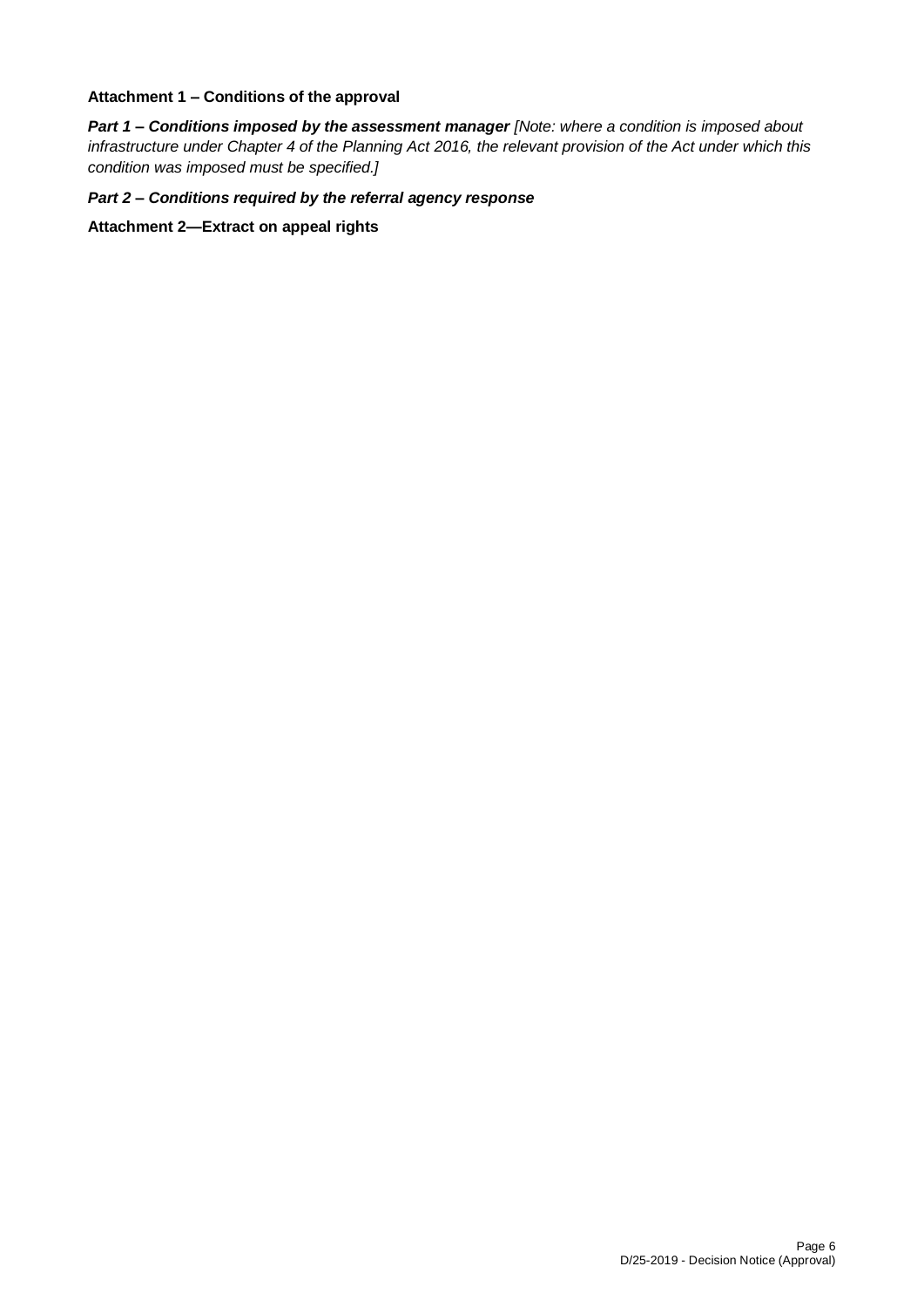# **Attachment 1 – Conditions of the approval**

*Part 1* **–** *Conditions imposed by the assessment manager [Note: where a condition is imposed about infrastructure under Chapter 4 of the Planning Act 2016, the relevant provision of the Act under which this condition was imposed must be specified.]*

*Part 2 – Conditions required by the referral agency response* 

**Attachment 2—Extract on appeal rights**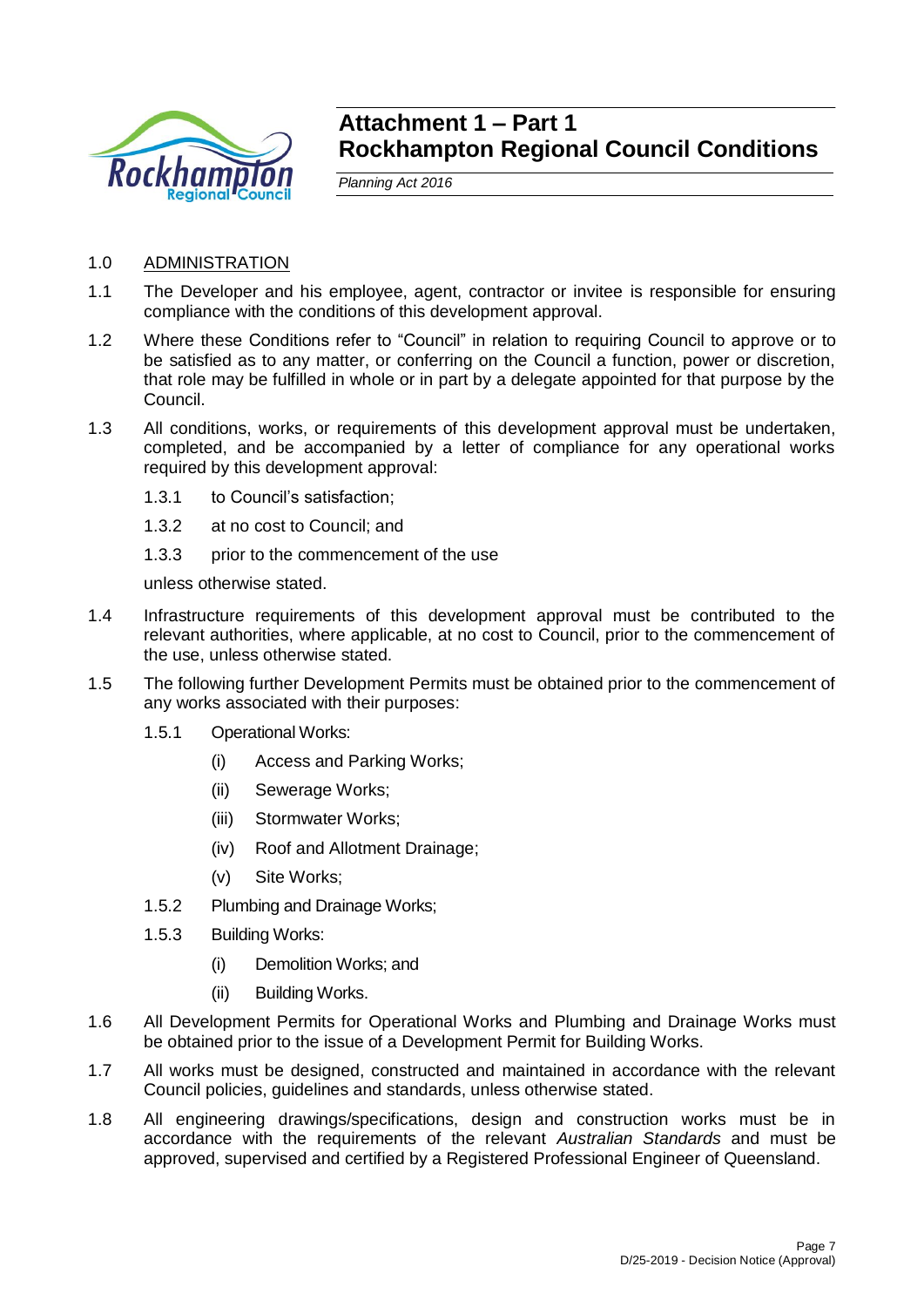

# **Attachment 1 – Part 1 Rockhampton Regional Council Conditions**

*Planning Act 2016*

- 1.0 ADMINISTRATION
- 1.1 The Developer and his employee, agent, contractor or invitee is responsible for ensuring compliance with the conditions of this development approval.
- 1.2 Where these Conditions refer to "Council" in relation to requiring Council to approve or to be satisfied as to any matter, or conferring on the Council a function, power or discretion, that role may be fulfilled in whole or in part by a delegate appointed for that purpose by the Council.
- 1.3 All conditions, works, or requirements of this development approval must be undertaken, completed, and be accompanied by a letter of compliance for any operational works required by this development approval:
	- 1.3.1 to Council's satisfaction;
	- 1.3.2 at no cost to Council; and
	- 1.3.3 prior to the commencement of the use

unless otherwise stated.

- 1.4 Infrastructure requirements of this development approval must be contributed to the relevant authorities, where applicable, at no cost to Council, prior to the commencement of the use, unless otherwise stated.
- 1.5 The following further Development Permits must be obtained prior to the commencement of any works associated with their purposes:
	- 1.5.1 Operational Works:
		- (i) Access and Parking Works;
		- (ii) Sewerage Works;
		- (iii) Stormwater Works;
		- (iv) Roof and Allotment Drainage;
		- (v) Site Works;
	- 1.5.2 Plumbing and Drainage Works;
	- 1.5.3 Building Works:
		- (i) Demolition Works; and
		- (ii) Building Works.
- 1.6 All Development Permits for Operational Works and Plumbing and Drainage Works must be obtained prior to the issue of a Development Permit for Building Works.
- 1.7 All works must be designed, constructed and maintained in accordance with the relevant Council policies, guidelines and standards, unless otherwise stated.
- 1.8 All engineering drawings/specifications, design and construction works must be in accordance with the requirements of the relevant *Australian Standards* and must be approved, supervised and certified by a Registered Professional Engineer of Queensland.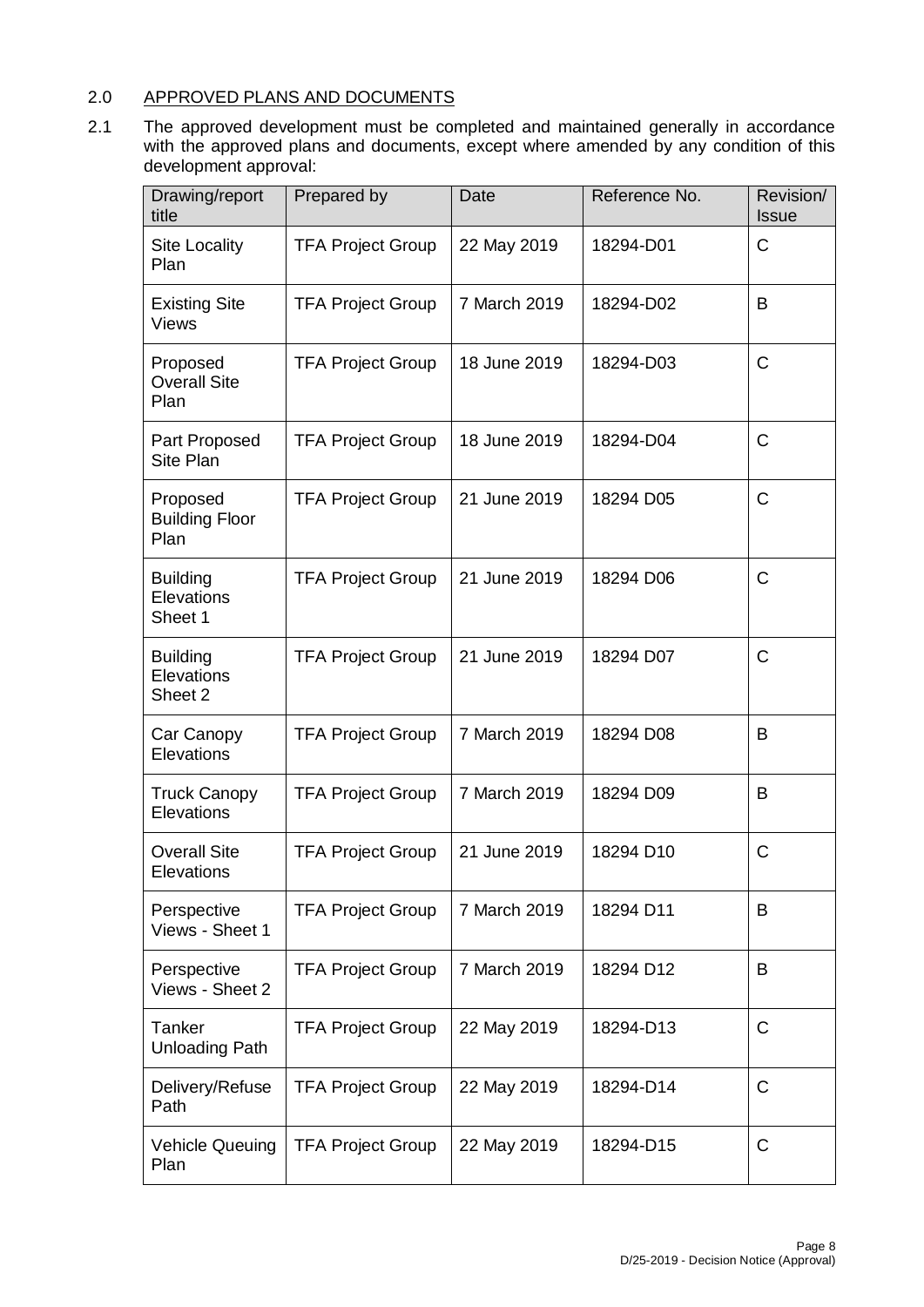# 2.0 APPROVED PLANS AND DOCUMENTS

2.1 The approved development must be completed and maintained generally in accordance with the approved plans and documents, except where amended by any condition of this development approval:

| Drawing/report<br>title                   | Prepared by              | Date         | Reference No. | Revision/<br><b>Issue</b> |
|-------------------------------------------|--------------------------|--------------|---------------|---------------------------|
| <b>Site Locality</b><br>Plan              | <b>TFA Project Group</b> | 22 May 2019  | 18294-D01     | C                         |
| <b>Existing Site</b><br><b>Views</b>      | <b>TFA Project Group</b> | 7 March 2019 | 18294-D02     | B                         |
| Proposed<br><b>Overall Site</b><br>Plan   | <b>TFA Project Group</b> | 18 June 2019 | 18294-D03     | C                         |
| Part Proposed<br>Site Plan                | <b>TFA Project Group</b> | 18 June 2019 | 18294-D04     | $\mathsf{C}$              |
| Proposed<br><b>Building Floor</b><br>Plan | <b>TFA Project Group</b> | 21 June 2019 | 18294 D05     | C                         |
| <b>Building</b><br>Elevations<br>Sheet 1  | <b>TFA Project Group</b> | 21 June 2019 | 18294 D06     | C                         |
| <b>Building</b><br>Elevations<br>Sheet 2  | <b>TFA Project Group</b> | 21 June 2019 | 18294 D07     | C                         |
| Car Canopy<br>Elevations                  | <b>TFA Project Group</b> | 7 March 2019 | 18294 D08     | B                         |
| <b>Truck Canopy</b><br>Elevations         | <b>TFA Project Group</b> | 7 March 2019 | 18294 D09     | B                         |
| <b>Overall Site</b><br>Elevations         | <b>TFA Project Group</b> | 21 June 2019 | 18294 D10     | C                         |
| Perspective<br>Views - Sheet 1            | <b>TFA Project Group</b> | 7 March 2019 | 18294 D11     | B                         |
| Perspective<br>Views - Sheet 2            | <b>TFA Project Group</b> | 7 March 2019 | 18294 D12     | B                         |
| Tanker<br><b>Unloading Path</b>           | <b>TFA Project Group</b> | 22 May 2019  | 18294-D13     | $\mathsf{C}$              |
| Delivery/Refuse<br>Path                   | <b>TFA Project Group</b> | 22 May 2019  | 18294-D14     | $\mathsf C$               |
| <b>Vehicle Queuing</b><br>Plan            | <b>TFA Project Group</b> | 22 May 2019  | 18294-D15     | $\mathsf C$               |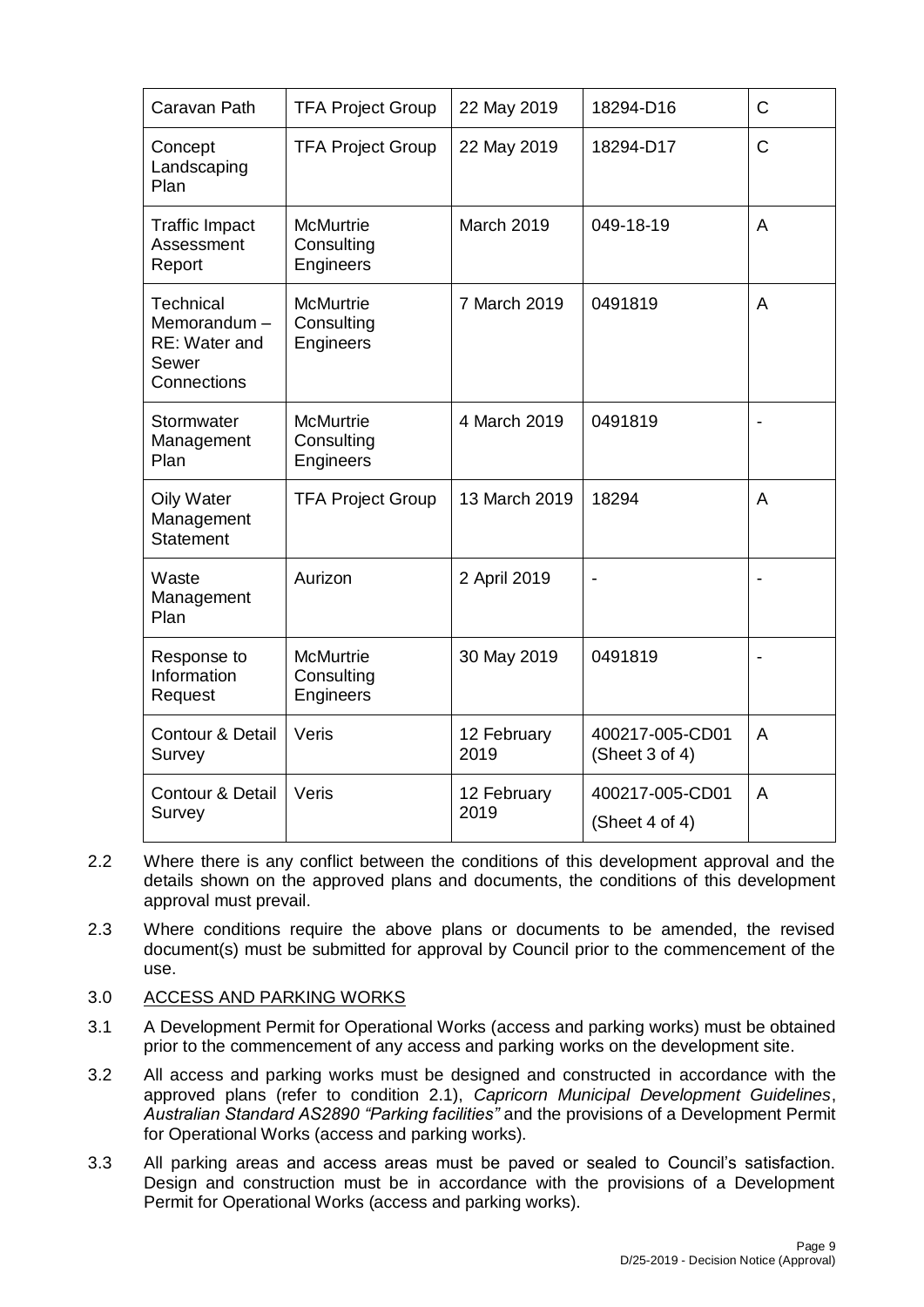| Caravan Path                                                      | <b>TFA Project Group</b>                           | 22 May 2019         | 18294-D16                         | $\mathsf{C}$             |
|-------------------------------------------------------------------|----------------------------------------------------|---------------------|-----------------------------------|--------------------------|
| Concept<br>Landscaping<br>Plan                                    | <b>TFA Project Group</b>                           | 22 May 2019         | 18294-D17                         | $\mathsf{C}$             |
| <b>Traffic Impact</b><br>Assessment<br>Report                     | <b>McMurtrie</b><br>Consulting<br><b>Engineers</b> | March 2019          | 049-18-19                         | A                        |
| Technical<br>Memorandum-<br>RE: Water and<br>Sewer<br>Connections | <b>McMurtrie</b><br>Consulting<br>Engineers        | 7 March 2019        | 0491819                           | A                        |
| Stormwater<br>Management<br>Plan                                  | <b>McMurtrie</b><br>Consulting<br>Engineers        | 4 March 2019        | 0491819                           |                          |
| <b>Oily Water</b><br>Management<br><b>Statement</b>               | <b>TFA Project Group</b>                           | 13 March 2019       | 18294                             | A                        |
| Waste<br>Management<br>Plan                                       | Aurizon                                            | 2 April 2019        | $\blacksquare$                    |                          |
| Response to<br>Information<br>Request                             | <b>McMurtrie</b><br>Consulting<br>Engineers        | 30 May 2019         | 0491819                           | $\overline{\phantom{a}}$ |
| <b>Contour &amp; Detail</b><br>Survey                             | Veris                                              | 12 February<br>2019 | 400217-005-CD01<br>(Sheet 3 of 4) | A                        |
| Contour & Detail<br>Survey                                        | Veris                                              | 12 February<br>2019 | 400217-005-CD01<br>(Sheet 4 of 4) | A                        |

- 2.2 Where there is any conflict between the conditions of this development approval and the details shown on the approved plans and documents, the conditions of this development approval must prevail.
- 2.3 Where conditions require the above plans or documents to be amended, the revised document(s) must be submitted for approval by Council prior to the commencement of the use.
- 3.0 ACCESS AND PARKING WORKS
- 3.1 A Development Permit for Operational Works (access and parking works) must be obtained prior to the commencement of any access and parking works on the development site.
- 3.2 All access and parking works must be designed and constructed in accordance with the approved plans (refer to condition 2.1), *Capricorn Municipal Development Guidelines*, *Australian Standard AS2890 "Parking facilities"* and the provisions of a Development Permit for Operational Works (access and parking works).
- 3.3 All parking areas and access areas must be paved or sealed to Council's satisfaction. Design and construction must be in accordance with the provisions of a Development Permit for Operational Works (access and parking works).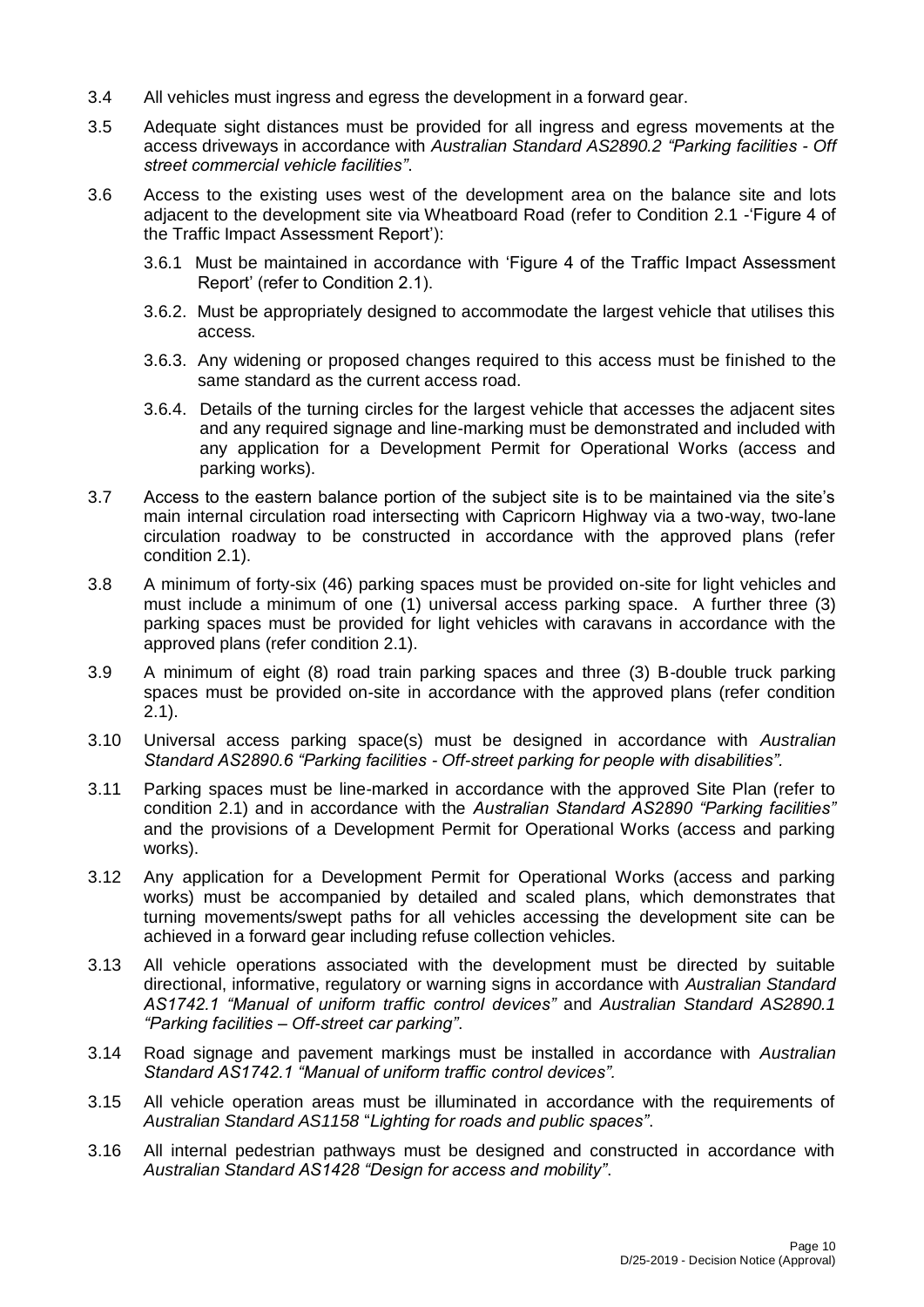- 3.4 All vehicles must ingress and egress the development in a forward gear.
- 3.5 Adequate sight distances must be provided for all ingress and egress movements at the access driveways in accordance with *Australian Standard AS2890.2 "Parking facilities - Off street commercial vehicle facilities"*.
- 3.6 Access to the existing uses west of the development area on the balance site and lots adjacent to the development site via Wheatboard Road (refer to Condition 2.1 -'Figure 4 of the Traffic Impact Assessment Report'):
	- 3.6.1 Must be maintained in accordance with 'Figure 4 of the Traffic Impact Assessment Report' (refer to Condition 2.1).
	- 3.6.2. Must be appropriately designed to accommodate the largest vehicle that utilises this access.
	- 3.6.3. Any widening or proposed changes required to this access must be finished to the same standard as the current access road.
	- 3.6.4. Details of the turning circles for the largest vehicle that accesses the adjacent sites and any required signage and line-marking must be demonstrated and included with any application for a Development Permit for Operational Works (access and parking works).
- 3.7 Access to the eastern balance portion of the subject site is to be maintained via the site's main internal circulation road intersecting with Capricorn Highway via a two-way, two-lane circulation roadway to be constructed in accordance with the approved plans (refer condition 2.1).
- 3.8 A minimum of forty-six (46) parking spaces must be provided on-site for light vehicles and must include a minimum of one (1) universal access parking space. A further three (3) parking spaces must be provided for light vehicles with caravans in accordance with the approved plans (refer condition 2.1).
- 3.9 A minimum of eight (8) road train parking spaces and three (3) B-double truck parking spaces must be provided on-site in accordance with the approved plans (refer condition 2.1).
- 3.10 Universal access parking space(s) must be designed in accordance with *Australian Standard AS2890.6 "Parking facilities - Off-street parking for people with disabilities".*
- 3.11 Parking spaces must be line-marked in accordance with the approved Site Plan (refer to condition 2.1) and in accordance with the *Australian Standard AS2890 "Parking facilities"* and the provisions of a Development Permit for Operational Works (access and parking works).
- 3.12 Any application for a Development Permit for Operational Works (access and parking works) must be accompanied by detailed and scaled plans, which demonstrates that turning movements/swept paths for all vehicles accessing the development site can be achieved in a forward gear including refuse collection vehicles.
- 3.13 All vehicle operations associated with the development must be directed by suitable directional, informative, regulatory or warning signs in accordance with *Australian Standard AS1742.1 "Manual of uniform traffic control devices"* and *Australian Standard AS2890.1 "Parking facilities – Off-street car parking"*.
- 3.14 Road signage and pavement markings must be installed in accordance with *Australian Standard AS1742.1 "Manual of uniform traffic control devices".*
- 3.15 All vehicle operation areas must be illuminated in accordance with the requirements of *Australian Standard AS1158* "*Lighting for roads and public spaces"*.
- 3.16 All internal pedestrian pathways must be designed and constructed in accordance with *Australian Standard AS1428 "Design for access and mobility"*.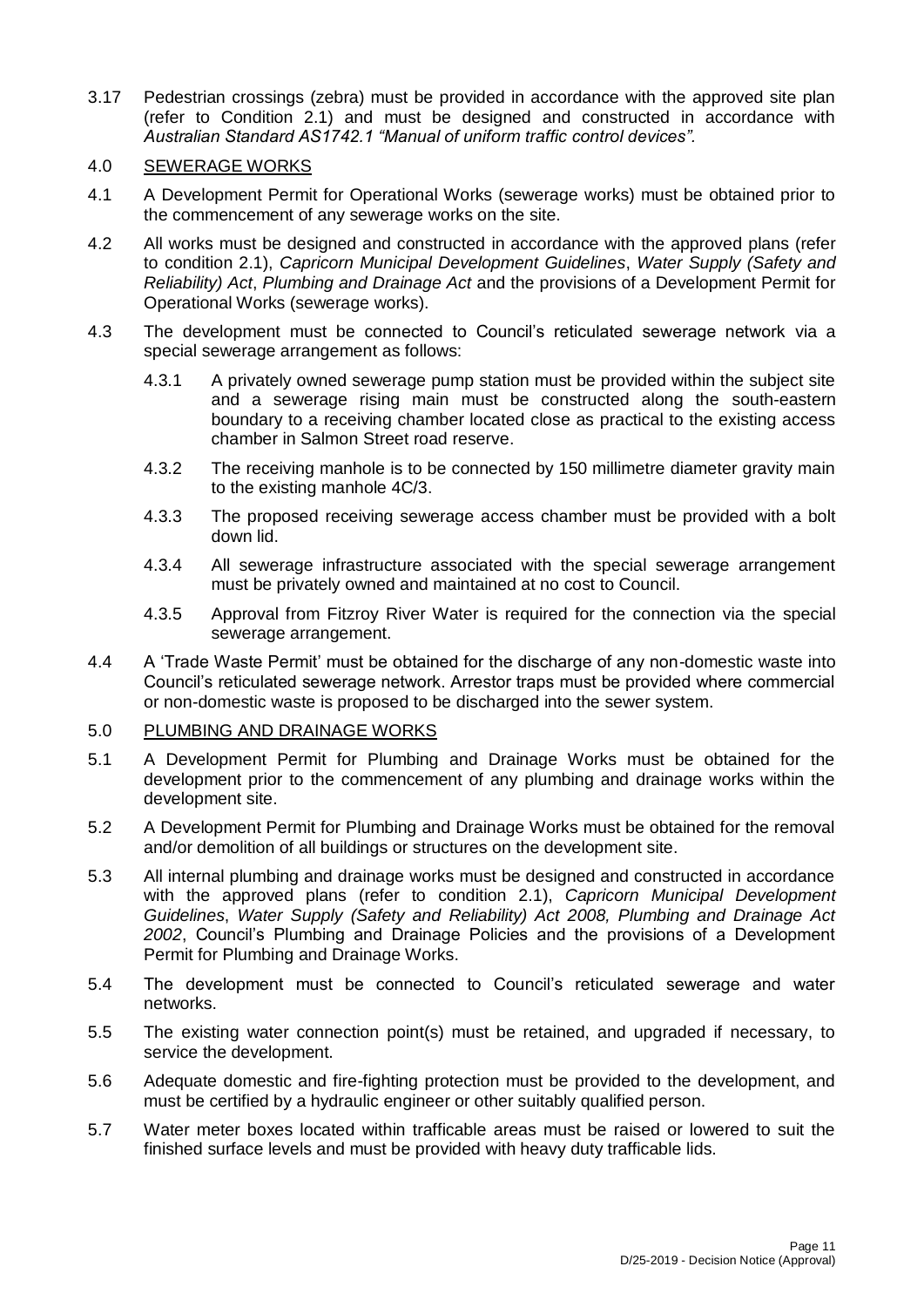3.17 Pedestrian crossings (zebra) must be provided in accordance with the approved site plan (refer to Condition 2.1) and must be designed and constructed in accordance with *Australian Standard AS1742.1 "Manual of uniform traffic control devices".*

# 4.0 SEWERAGE WORKS

- 4.1 A Development Permit for Operational Works (sewerage works) must be obtained prior to the commencement of any sewerage works on the site.
- 4.2 All works must be designed and constructed in accordance with the approved plans (refer to condition 2.1), *Capricorn Municipal Development Guidelines*, *Water Supply (Safety and Reliability) Act*, *Plumbing and Drainage Act* and the provisions of a Development Permit for Operational Works (sewerage works).
- 4.3 The development must be connected to Council's reticulated sewerage network via a special sewerage arrangement as follows:
	- 4.3.1 A privately owned sewerage pump station must be provided within the subject site and a sewerage rising main must be constructed along the south-eastern boundary to a receiving chamber located close as practical to the existing access chamber in Salmon Street road reserve.
	- 4.3.2 The receiving manhole is to be connected by 150 millimetre diameter gravity main to the existing manhole 4C/3.
	- 4.3.3 The proposed receiving sewerage access chamber must be provided with a bolt down lid.
	- 4.3.4 All sewerage infrastructure associated with the special sewerage arrangement must be privately owned and maintained at no cost to Council.
	- 4.3.5 Approval from Fitzroy River Water is required for the connection via the special sewerage arrangement.
- 4.4 A 'Trade Waste Permit' must be obtained for the discharge of any non-domestic waste into Council's reticulated sewerage network. Arrestor traps must be provided where commercial or non-domestic waste is proposed to be discharged into the sewer system.

### 5.0 PLUMBING AND DRAINAGE WORKS

- 5.1 A Development Permit for Plumbing and Drainage Works must be obtained for the development prior to the commencement of any plumbing and drainage works within the development site.
- 5.2 A Development Permit for Plumbing and Drainage Works must be obtained for the removal and/or demolition of all buildings or structures on the development site.
- 5.3 All internal plumbing and drainage works must be designed and constructed in accordance with the approved plans (refer to condition 2.1), *Capricorn Municipal Development Guidelines*, *Water Supply (Safety and Reliability) Act 2008, Plumbing and Drainage Act 2002*, Council's Plumbing and Drainage Policies and the provisions of a Development Permit for Plumbing and Drainage Works.
- 5.4 The development must be connected to Council's reticulated sewerage and water networks.
- 5.5 The existing water connection point(s) must be retained, and upgraded if necessary, to service the development.
- 5.6 Adequate domestic and fire-fighting protection must be provided to the development, and must be certified by a hydraulic engineer or other suitably qualified person.
- 5.7 Water meter boxes located within trafficable areas must be raised or lowered to suit the finished surface levels and must be provided with heavy duty trafficable lids.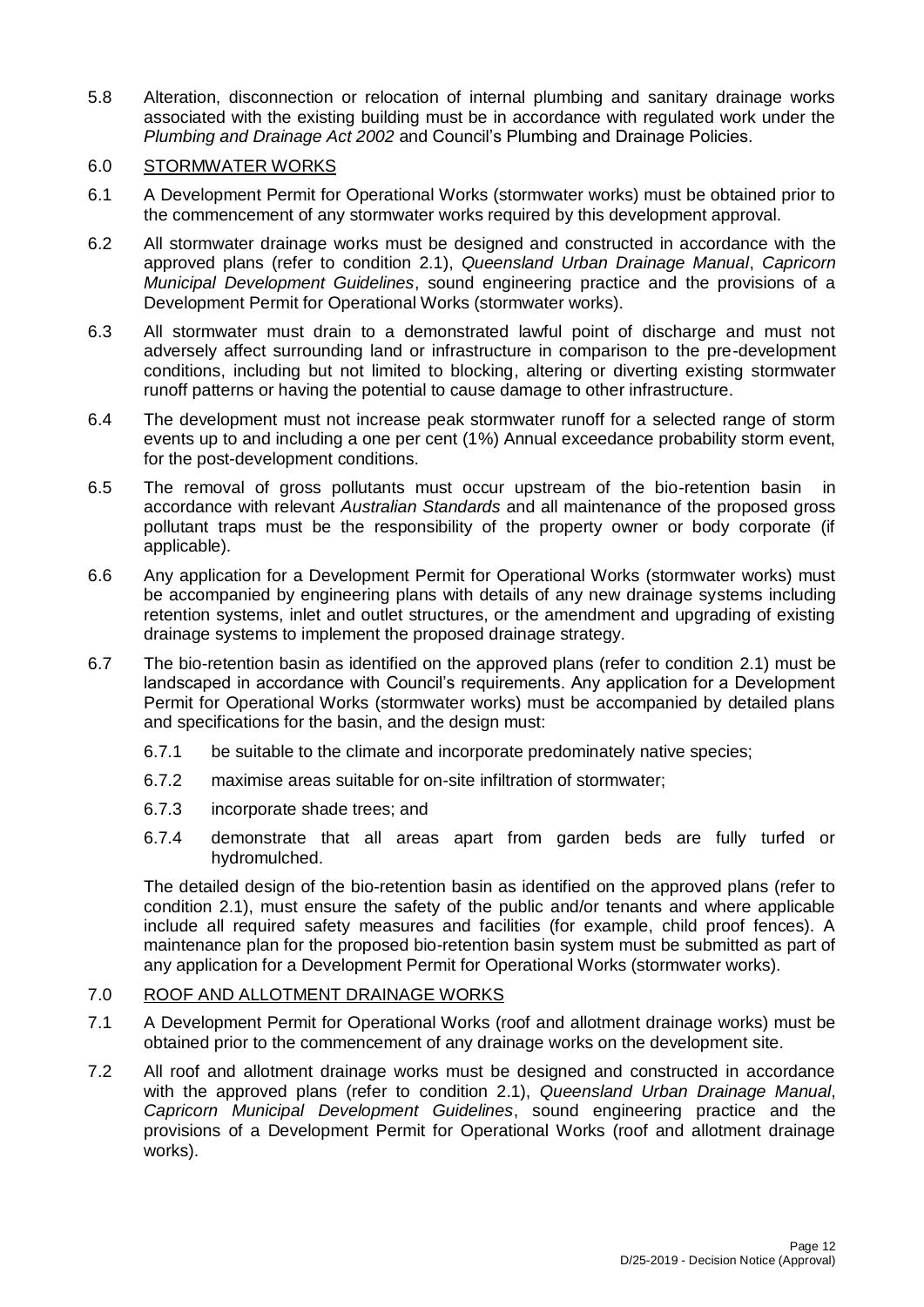5.8 Alteration, disconnection or relocation of internal plumbing and sanitary drainage works associated with the existing building must be in accordance with regulated work under the *Plumbing and Drainage Act 2002* and Council's Plumbing and Drainage Policies.

# 6.0 STORMWATER WORKS

- 6.1 A Development Permit for Operational Works (stormwater works) must be obtained prior to the commencement of any stormwater works required by this development approval.
- 6.2 All stormwater drainage works must be designed and constructed in accordance with the approved plans (refer to condition 2.1), *Queensland Urban Drainage Manual*, *Capricorn Municipal Development Guidelines*, sound engineering practice and the provisions of a Development Permit for Operational Works (stormwater works).
- 6.3 All stormwater must drain to a demonstrated lawful point of discharge and must not adversely affect surrounding land or infrastructure in comparison to the pre-development conditions, including but not limited to blocking, altering or diverting existing stormwater runoff patterns or having the potential to cause damage to other infrastructure.
- 6.4 The development must not increase peak stormwater runoff for a selected range of storm events up to and including a one per cent (1%) Annual exceedance probability storm event, for the post-development conditions.
- 6.5 The removal of gross pollutants must occur upstream of the bio-retention basin in accordance with relevant *Australian Standards* and all maintenance of the proposed gross pollutant traps must be the responsibility of the property owner or body corporate (if applicable).
- 6.6 Any application for a Development Permit for Operational Works (stormwater works) must be accompanied by engineering plans with details of any new drainage systems including retention systems, inlet and outlet structures, or the amendment and upgrading of existing drainage systems to implement the proposed drainage strategy.
- 6.7 The bio-retention basin as identified on the approved plans (refer to condition 2.1) must be landscaped in accordance with Council's requirements. Any application for a Development Permit for Operational Works (stormwater works) must be accompanied by detailed plans and specifications for the basin, and the design must:
	- 6.7.1 be suitable to the climate and incorporate predominately native species;
	- 6.7.2 maximise areas suitable for on-site infiltration of stormwater;
	- 6.7.3 incorporate shade trees; and
	- 6.7.4 demonstrate that all areas apart from garden beds are fully turfed or hydromulched.

The detailed design of the bio-retention basin as identified on the approved plans (refer to condition 2.1), must ensure the safety of the public and/or tenants and where applicable include all required safety measures and facilities (for example, child proof fences). A maintenance plan for the proposed bio-retention basin system must be submitted as part of any application for a Development Permit for Operational Works (stormwater works).

# 7.0 ROOF AND ALLOTMENT DRAINAGE WORKS

- 7.1 A Development Permit for Operational Works (roof and allotment drainage works) must be obtained prior to the commencement of any drainage works on the development site.
- 7.2 All roof and allotment drainage works must be designed and constructed in accordance with the approved plans (refer to condition 2.1), *Queensland Urban Drainage Manual*, *Capricorn Municipal Development Guidelines*, sound engineering practice and the provisions of a Development Permit for Operational Works (roof and allotment drainage works).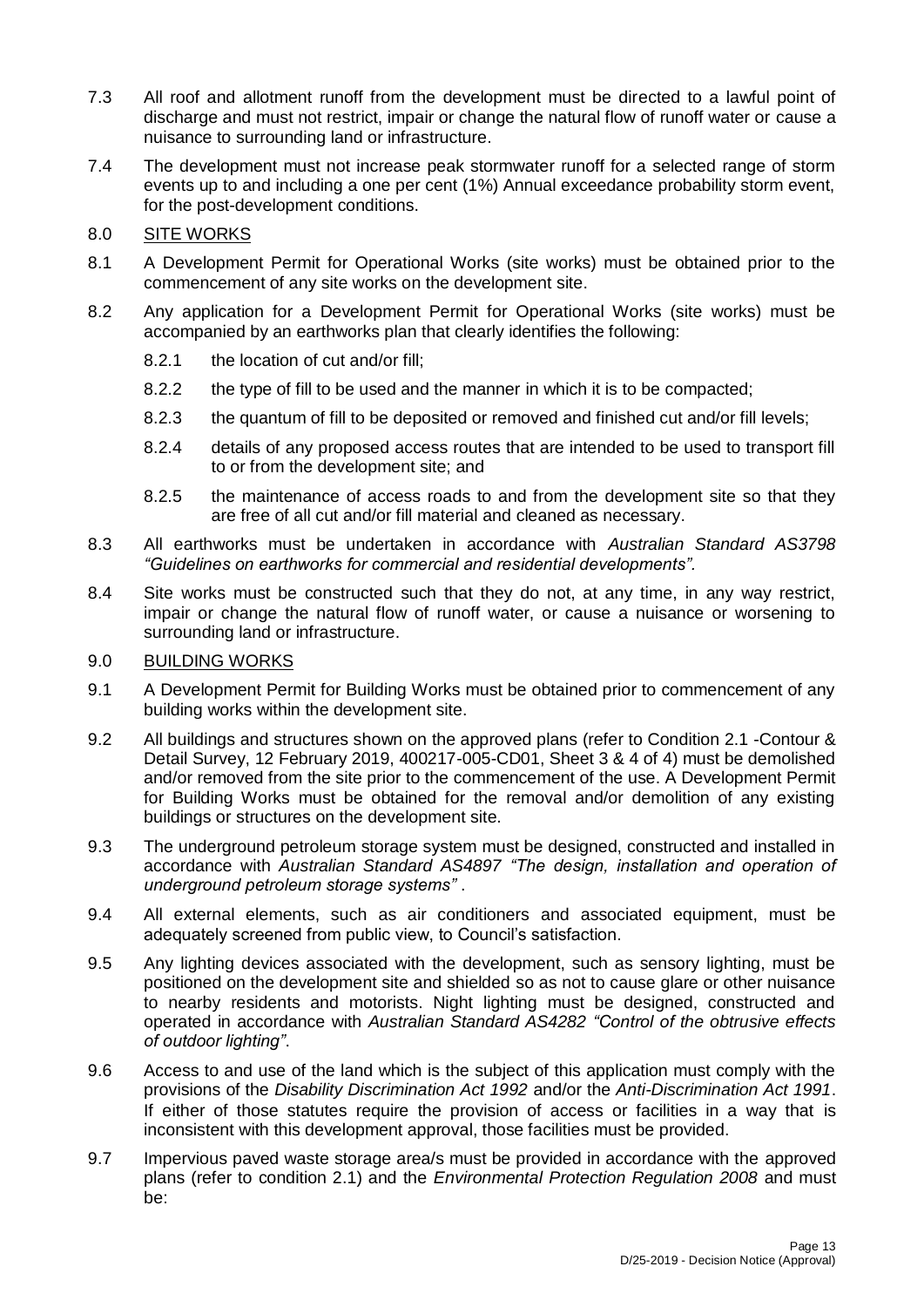- 7.3 All roof and allotment runoff from the development must be directed to a lawful point of discharge and must not restrict, impair or change the natural flow of runoff water or cause a nuisance to surrounding land or infrastructure.
- 7.4 The development must not increase peak stormwater runoff for a selected range of storm events up to and including a one per cent (1%) Annual exceedance probability storm event, for the post-development conditions.
- 8.0 SITE WORKS
- 8.1 A Development Permit for Operational Works (site works) must be obtained prior to the commencement of any site works on the development site.
- 8.2 Any application for a Development Permit for Operational Works (site works) must be accompanied by an earthworks plan that clearly identifies the following:
	- 8.2.1 the location of cut and/or fill;
	- 8.2.2 the type of fill to be used and the manner in which it is to be compacted;
	- 8.2.3 the quantum of fill to be deposited or removed and finished cut and/or fill levels;
	- 8.2.4 details of any proposed access routes that are intended to be used to transport fill to or from the development site; and
	- 8.2.5 the maintenance of access roads to and from the development site so that they are free of all cut and/or fill material and cleaned as necessary.
- 8.3 All earthworks must be undertaken in accordance with *Australian Standard AS3798 "Guidelines on earthworks for commercial and residential developments".*
- 8.4 Site works must be constructed such that they do not, at any time, in any way restrict, impair or change the natural flow of runoff water, or cause a nuisance or worsening to surrounding land or infrastructure.

# 9.0 BUILDING WORKS

- 9.1 A Development Permit for Building Works must be obtained prior to commencement of any building works within the development site.
- 9.2 All buildings and structures shown on the approved plans (refer to Condition 2.1 -Contour & Detail Survey, 12 February 2019, 400217-005-CD01, Sheet 3 & 4 of 4) must be demolished and/or removed from the site prior to the commencement of the use. A Development Permit for Building Works must be obtained for the removal and/or demolition of any existing buildings or structures on the development site.
- 9.3 The underground petroleum storage system must be designed, constructed and installed in accordance with *Australian Standard AS4897 "The design, installation and operation of underground petroleum storage systems"* .
- 9.4 All external elements, such as air conditioners and associated equipment, must be adequately screened from public view, to Council's satisfaction.
- 9.5 Any lighting devices associated with the development, such as sensory lighting, must be positioned on the development site and shielded so as not to cause glare or other nuisance to nearby residents and motorists. Night lighting must be designed, constructed and operated in accordance with *Australian Standard AS4282 "Control of the obtrusive effects of outdoor lighting"*.
- 9.6 Access to and use of the land which is the subject of this application must comply with the provisions of the *Disability Discrimination Act 1992* and/or the *Anti-Discrimination Act 1991*. If either of those statutes require the provision of access or facilities in a way that is inconsistent with this development approval, those facilities must be provided.
- 9.7 Impervious paved waste storage area/s must be provided in accordance with the approved plans (refer to condition 2.1) and the *Environmental Protection Regulation 2008* and must be: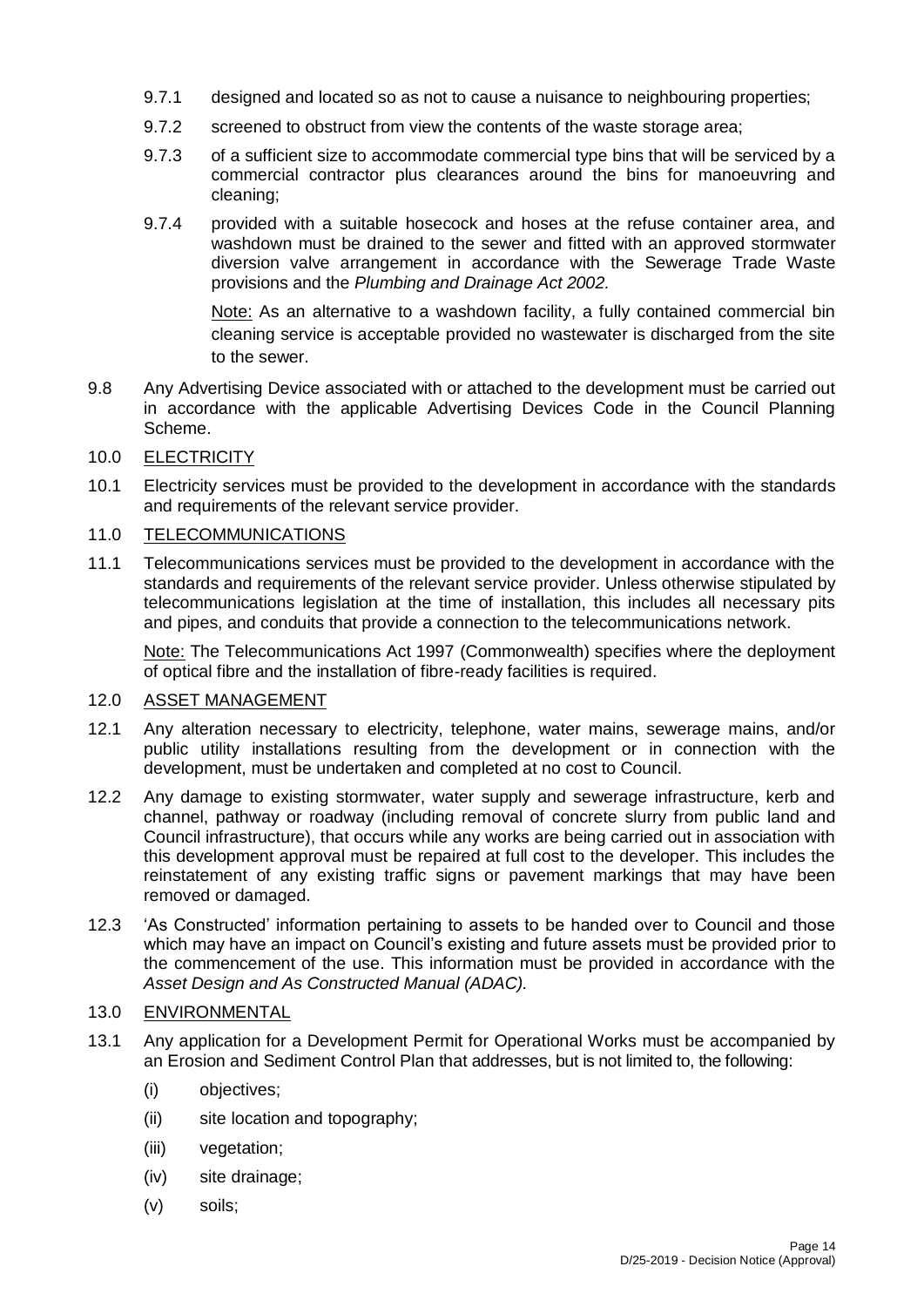- 9.7.1 designed and located so as not to cause a nuisance to neighbouring properties;
- 9.7.2 screened to obstruct from view the contents of the waste storage area;
- 9.7.3 of a sufficient size to accommodate commercial type bins that will be serviced by a commercial contractor plus clearances around the bins for manoeuvring and cleaning;
- 9.7.4 provided with a suitable hosecock and hoses at the refuse container area, and washdown must be drained to the sewer and fitted with an approved stormwater diversion valve arrangement in accordance with the Sewerage Trade Waste provisions and the *Plumbing and Drainage Act 2002.*

Note: As an alternative to a washdown facility, a fully contained commercial bin cleaning service is acceptable provided no wastewater is discharged from the site to the sewer.

9.8 Any Advertising Device associated with or attached to the development must be carried out in accordance with the applicable Advertising Devices Code in the Council Planning Scheme.

# 10.0 ELECTRICITY

10.1 Electricity services must be provided to the development in accordance with the standards and requirements of the relevant service provider.

# 11.0 TELECOMMUNICATIONS

11.1 Telecommunications services must be provided to the development in accordance with the standards and requirements of the relevant service provider. Unless otherwise stipulated by telecommunications legislation at the time of installation, this includes all necessary pits and pipes, and conduits that provide a connection to the telecommunications network.

Note: The Telecommunications Act 1997 (Commonwealth) specifies where the deployment of optical fibre and the installation of fibre-ready facilities is required.

# 12.0 ASSET MANAGEMENT

- 12.1 Any alteration necessary to electricity, telephone, water mains, sewerage mains, and/or public utility installations resulting from the development or in connection with the development, must be undertaken and completed at no cost to Council.
- 12.2 Any damage to existing stormwater, water supply and sewerage infrastructure, kerb and channel, pathway or roadway (including removal of concrete slurry from public land and Council infrastructure), that occurs while any works are being carried out in association with this development approval must be repaired at full cost to the developer. This includes the reinstatement of any existing traffic signs or pavement markings that may have been removed or damaged.
- 12.3 'As Constructed' information pertaining to assets to be handed over to Council and those which may have an impact on Council's existing and future assets must be provided prior to the commencement of the use. This information must be provided in accordance with the *Asset Design and As Constructed Manual (ADAC).*

# 13.0 ENVIRONMENTAL

- 13.1 Any application for a Development Permit for Operational Works must be accompanied by an Erosion and Sediment Control Plan that addresses, but is not limited to, the following:
	- (i) objectives;
	- (ii) site location and topography;
	- (iii) vegetation:
	- (iv) site drainage;
	- (v) soils;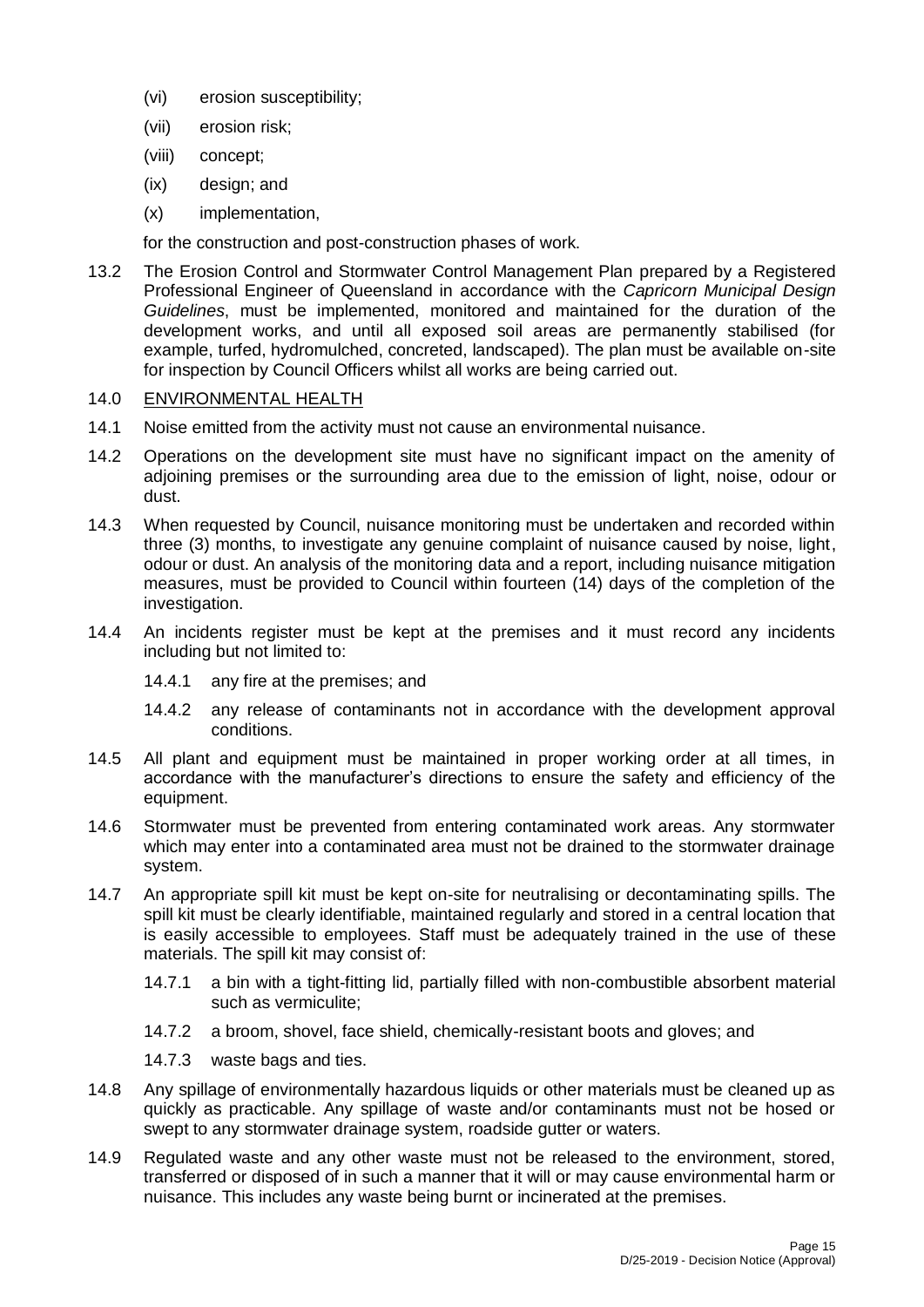- (vi) erosion susceptibility;
- (vii) erosion risk;
- (viii) concept;
- (ix) design; and
- (x) implementation,

for the construction and post-construction phases of work.

13.2 The Erosion Control and Stormwater Control Management Plan prepared by a Registered Professional Engineer of Queensland in accordance with the *Capricorn Municipal Design Guidelines*, must be implemented, monitored and maintained for the duration of the development works, and until all exposed soil areas are permanently stabilised (for example, turfed, hydromulched, concreted, landscaped). The plan must be available on-site for inspection by Council Officers whilst all works are being carried out.

# 14.0 ENVIRONMENTAL HEALTH

- 14.1 Noise emitted from the activity must not cause an environmental nuisance.
- 14.2 Operations on the development site must have no significant impact on the amenity of adjoining premises or the surrounding area due to the emission of light, noise, odour or dust.
- 14.3 When requested by Council, nuisance monitoring must be undertaken and recorded within three (3) months, to investigate any genuine complaint of nuisance caused by noise, light, odour or dust. An analysis of the monitoring data and a report, including nuisance mitigation measures, must be provided to Council within fourteen (14) days of the completion of the investigation.
- 14.4 An incidents register must be kept at the premises and it must record any incidents including but not limited to:
	- 14.4.1 any fire at the premises; and
	- 14.4.2 any release of contaminants not in accordance with the development approval conditions.
- 14.5 All plant and equipment must be maintained in proper working order at all times, in accordance with the manufacturer's directions to ensure the safety and efficiency of the equipment.
- 14.6 Stormwater must be prevented from entering contaminated work areas. Any stormwater which may enter into a contaminated area must not be drained to the stormwater drainage system.
- 14.7 An appropriate spill kit must be kept on-site for neutralising or decontaminating spills. The spill kit must be clearly identifiable, maintained regularly and stored in a central location that is easily accessible to employees. Staff must be adequately trained in the use of these materials. The spill kit may consist of:
	- 14.7.1 a bin with a tight-fitting lid, partially filled with non-combustible absorbent material such as vermiculite;
	- 14.7.2 a broom, shovel, face shield, chemically-resistant boots and gloves; and
	- 14.7.3 waste bags and ties.
- 14.8 Any spillage of environmentally hazardous liquids or other materials must be cleaned up as quickly as practicable. Any spillage of waste and/or contaminants must not be hosed or swept to any stormwater drainage system, roadside gutter or waters.
- 14.9 Regulated waste and any other waste must not be released to the environment, stored, transferred or disposed of in such a manner that it will or may cause environmental harm or nuisance. This includes any waste being burnt or incinerated at the premises.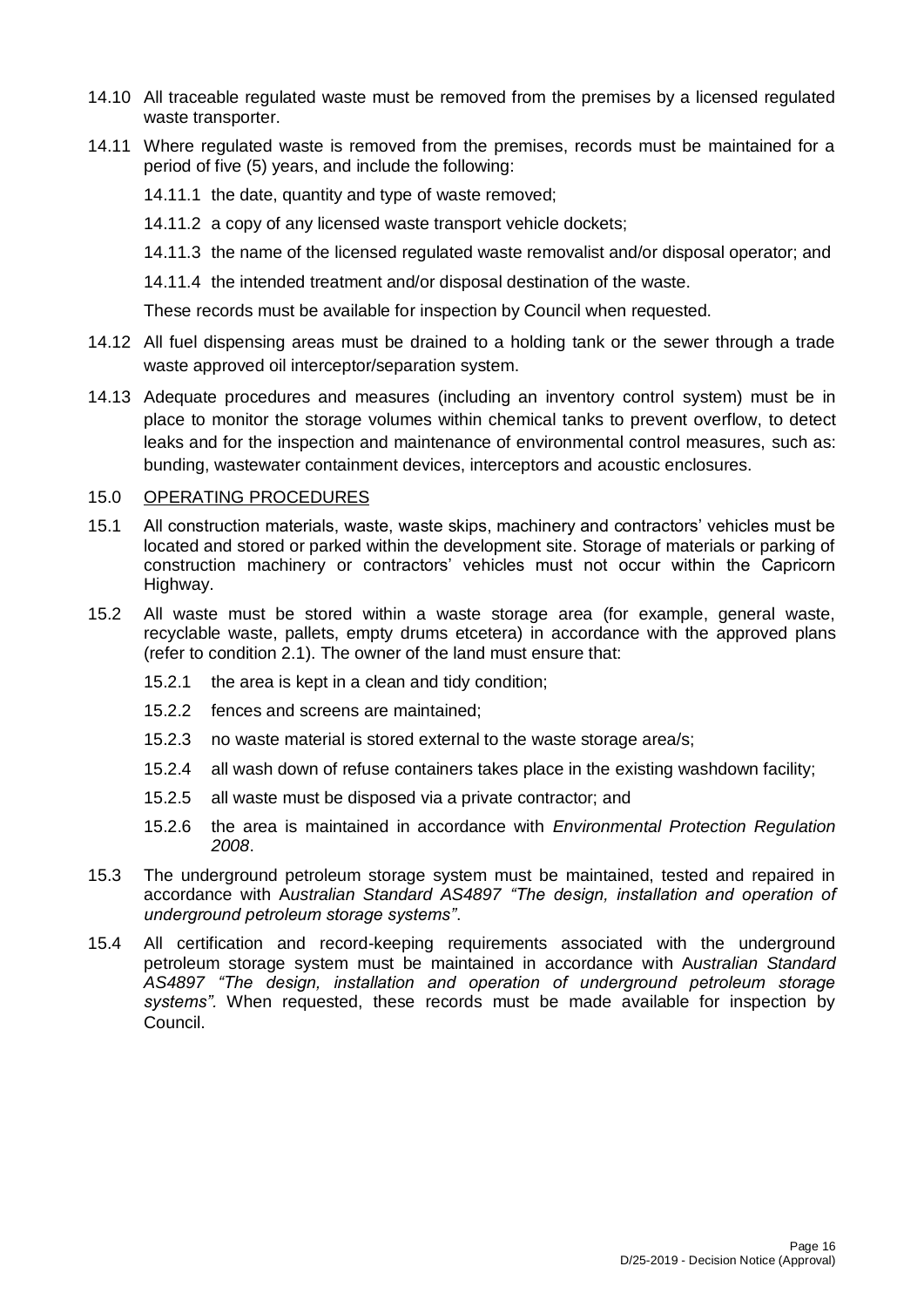- 14.10 All traceable regulated waste must be removed from the premises by a licensed regulated waste transporter.
- 14.11 Where regulated waste is removed from the premises, records must be maintained for a period of five (5) years, and include the following:
	- 14.11.1 the date, quantity and type of waste removed;
	- 14.11.2 a copy of any licensed waste transport vehicle dockets;
	- 14.11.3 the name of the licensed regulated waste removalist and/or disposal operator; and
	- 14.11.4 the intended treatment and/or disposal destination of the waste.

These records must be available for inspection by Council when requested.

- 14.12 All fuel dispensing areas must be drained to a holding tank or the sewer through a trade waste approved oil interceptor/separation system.
- 14.13 Adequate procedures and measures (including an inventory control system) must be in place to monitor the storage volumes within chemical tanks to prevent overflow, to detect leaks and for the inspection and maintenance of environmental control measures, such as: bunding, wastewater containment devices, interceptors and acoustic enclosures.

# 15.0 OPERATING PROCEDURES

- 15.1 All construction materials, waste, waste skips, machinery and contractors' vehicles must be located and stored or parked within the development site. Storage of materials or parking of construction machinery or contractors' vehicles must not occur within the Capricorn Highway.
- 15.2 All waste must be stored within a waste storage area (for example, general waste, recyclable waste, pallets, empty drums etcetera) in accordance with the approved plans (refer to condition 2.1). The owner of the land must ensure that:
	- 15.2.1 the area is kept in a clean and tidy condition;
	- 15.2.2 fences and screens are maintained;
	- 15.2.3 no waste material is stored external to the waste storage area/s;
	- 15.2.4 all wash down of refuse containers takes place in the existing washdown facility;
	- 15.2.5 all waste must be disposed via a private contractor; and
	- 15.2.6 the area is maintained in accordance with *Environmental Protection Regulation 2008*.
- 15.3 The underground petroleum storage system must be maintained, tested and repaired in accordance with A*ustralian Standard AS4897 "The design, installation and operation of underground petroleum storage systems"*.
- 15.4 All certification and record-keeping requirements associated with the underground petroleum storage system must be maintained in accordance with A*ustralian Standard AS4897 "The design, installation and operation of underground petroleum storage systems".* When requested, these records must be made available for inspection by Council.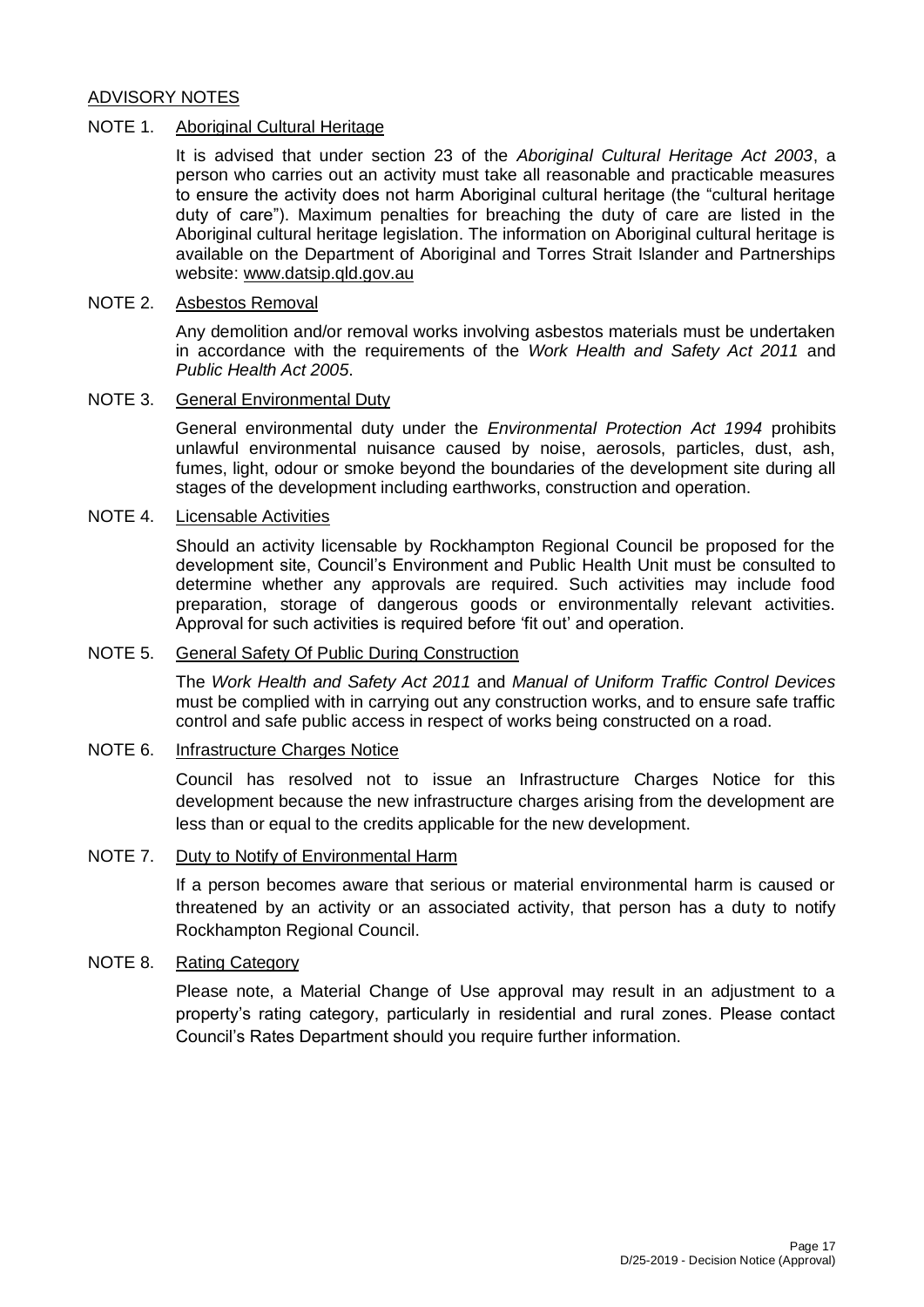# ADVISORY NOTES

### NOTE 1. Aboriginal Cultural Heritage

It is advised that under section 23 of the *Aboriginal Cultural Heritage Act 2003*, a person who carries out an activity must take all reasonable and practicable measures to ensure the activity does not harm Aboriginal cultural heritage (the "cultural heritage duty of care"). Maximum penalties for breaching the duty of care are listed in the Aboriginal cultural heritage legislation. The information on Aboriginal cultural heritage is available on the Department of Aboriginal and Torres Strait Islander and Partnerships website: [www.datsip.qld.gov.au](http://www.datsip.qld.gov.au/)

# NOTE 2. Asbestos Removal

Any demolition and/or removal works involving asbestos materials must be undertaken in accordance with the requirements of the *Work Health and Safety Act 2011* and *Public Health Act 2005*.

# NOTE 3. General Environmental Duty

General environmental duty under the *Environmental Protection Act 1994* prohibits unlawful environmental nuisance caused by noise, aerosols, particles, dust, ash, fumes, light, odour or smoke beyond the boundaries of the development site during all stages of the development including earthworks, construction and operation.

#### NOTE 4. Licensable Activities

Should an activity licensable by Rockhampton Regional Council be proposed for the development site, Council's Environment and Public Health Unit must be consulted to determine whether any approvals are required. Such activities may include food preparation, storage of dangerous goods or environmentally relevant activities. Approval for such activities is required before 'fit out' and operation.

### NOTE 5. General Safety Of Public During Construction

The *Work Health and Safety Act 2011* and *Manual of Uniform Traffic Control Devices* must be complied with in carrying out any construction works, and to ensure safe traffic control and safe public access in respect of works being constructed on a road.

#### NOTE 6. Infrastructure Charges Notice

Council has resolved not to issue an Infrastructure Charges Notice for this development because the new infrastructure charges arising from the development are less than or equal to the credits applicable for the new development.

#### NOTE 7. Duty to Notify of Environmental Harm

If a person becomes aware that serious or material environmental harm is caused or threatened by an activity or an associated activity, that person has a duty to notify Rockhampton Regional Council.

# NOTE 8. Rating Category

Please note, a Material Change of Use approval may result in an adjustment to a property's rating category, particularly in residential and rural zones. Please contact Council's Rates Department should you require further information.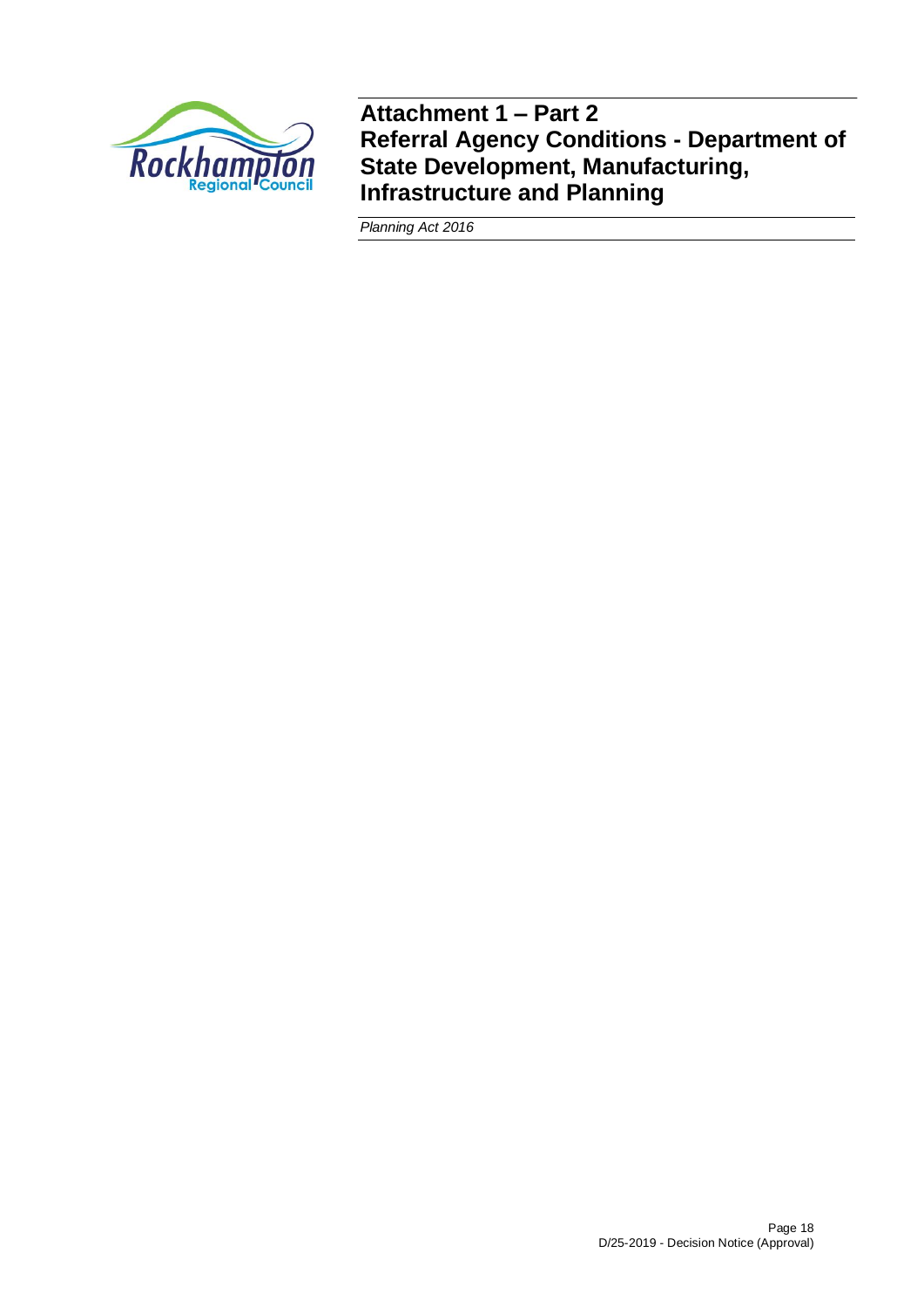

**Attachment 1 – Part 2 Referral Agency Conditions - Department of State Development, Manufacturing, Infrastructure and Planning**

*Planning Act 2016*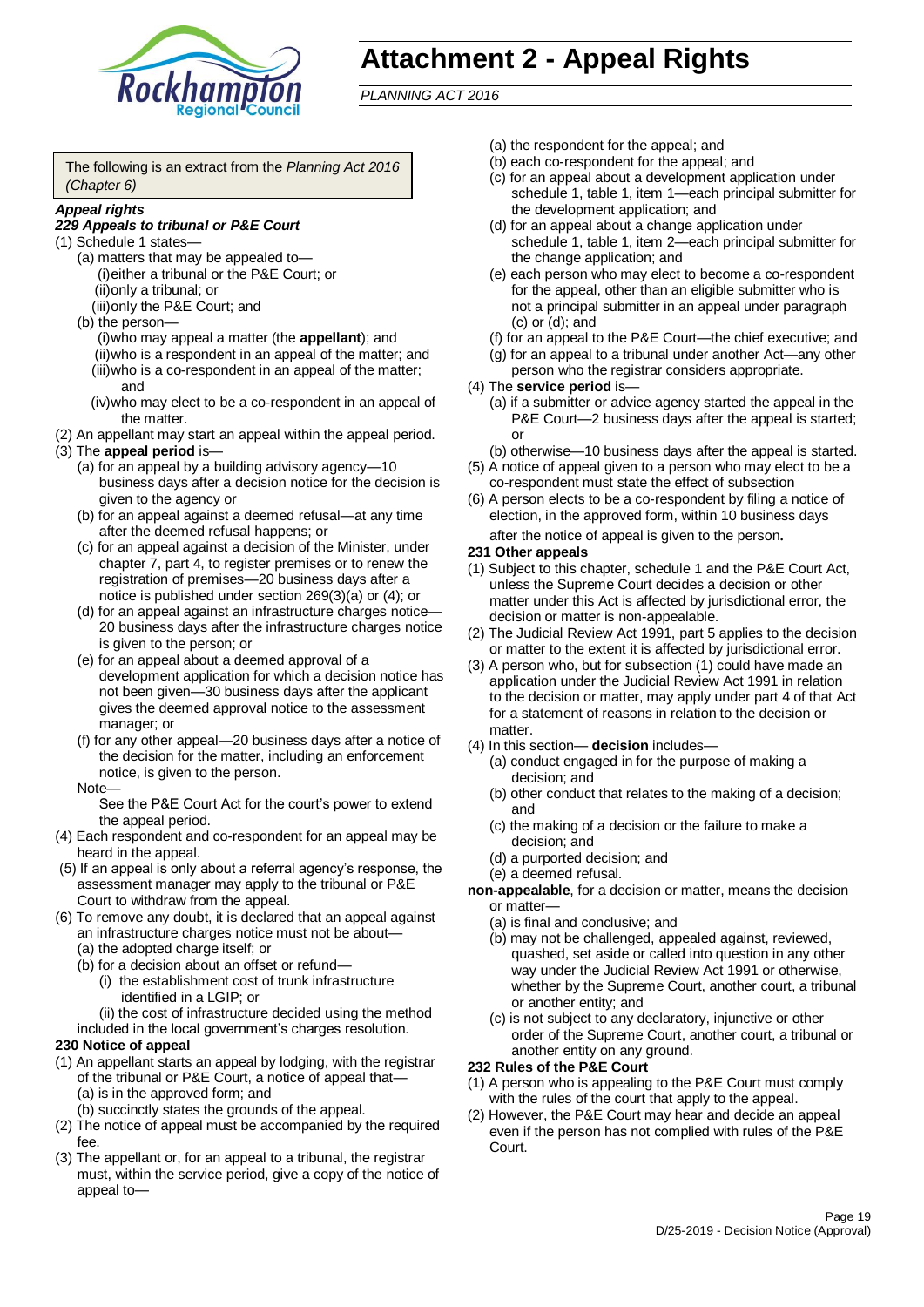

# **Attachment 2 - Appeal Rights**

*PLANNING ACT 2016*

The following is an extract from the *Planning Act 2016 (Chapter 6)*

#### *Appeal rights*

#### *229 Appeals to tribunal or P&E Court*

- (1) Schedule 1 states—
	- (a) matters that may be appealed to— (i)either a tribunal or the P&E Court; or (ii)only a tribunal; or
	- (iii)only the P&E Court; and
	- (b) the person—
		- (i)who may appeal a matter (the **appellant**); and (ii)who is a respondent in an appeal of the matter; and (iii)who is a co-respondent in an appeal of the matter; and
		- (iv)who may elect to be a co-respondent in an appeal of the matter.
- (2) An appellant may start an appeal within the appeal period.
- (3) The **appeal period** is—
	- (a) for an appeal by a building advisory agency—10 business days after a decision notice for the decision is given to the agency or
	- (b) for an appeal against a deemed refusal—at any time after the deemed refusal happens; or
	- (c) for an appeal against a decision of the Minister, under chapter 7, part 4, to register premises or to renew the registration of premises—20 business days after a notice is published under section 269(3)(a) or (4); or
	- (d) for an appeal against an infrastructure charges notice— 20 business days after the infrastructure charges notice is given to the person; or
	- (e) for an appeal about a deemed approval of a development application for which a decision notice has not been given—30 business days after the applicant gives the deemed approval notice to the assessment manager; or
	- (f) for any other appeal—20 business days after a notice of the decision for the matter, including an enforcement notice, is given to the person.

#### Note—

See the P&E Court Act for the court's power to extend the appeal period.

- (4) Each respondent and co-respondent for an appeal may be heard in the appeal.
- (5) If an appeal is only about a referral agency's response, the assessment manager may apply to the tribunal or P&E Court to withdraw from the appeal.
- (6) To remove any doubt, it is declared that an appeal against an infrastructure charges notice must not be about—
	- (a) the adopted charge itself; or
	- (b) for a decision about an offset or refund—
		- (i) the establishment cost of trunk infrastructure identified in a LGIP; or
		- (ii) the cost of infrastructure decided using the method
	- included in the local government's charges resolution.

#### **230 Notice of appeal**

- (1) An appellant starts an appeal by lodging, with the registrar of the tribunal or P&E Court, a notice of appeal that—
	- (a) is in the approved form; and
	- (b) succinctly states the grounds of the appeal.
- (2) The notice of appeal must be accompanied by the required fee.
- (3) The appellant or, for an appeal to a tribunal, the registrar must, within the service period, give a copy of the notice of appeal to—
- (a) the respondent for the appeal; and
- (b) each co-respondent for the appeal; and
- (c) for an appeal about a development application under schedule 1, table 1, item 1—each principal submitter for the development application; and
- (d) for an appeal about a change application under schedule 1, table 1, item 2—each principal submitter for the change application; and
- (e) each person who may elect to become a co-respondent for the appeal, other than an eligible submitter who is not a principal submitter in an appeal under paragraph (c) or (d); and
- (f) for an appeal to the P&E Court—the chief executive; and
- (g) for an appeal to a tribunal under another Act—any other person who the registrar considers appropriate.
- (4) The **service period** is—
	- (a) if a submitter or advice agency started the appeal in the P&E Court-2 business days after the appeal is started; or
	- (b) otherwise—10 business days after the appeal is started.
- (5) A notice of appeal given to a person who may elect to be a co-respondent must state the effect of subsection
- (6) A person elects to be a co-respondent by filing a notice of election, in the approved form, within 10 business days after the notice of appeal is given to the person*.*
- **231 Other appeals**
- (1) Subject to this chapter, schedule 1 and the P&E Court Act, unless the Supreme Court decides a decision or other matter under this Act is affected by jurisdictional error, the decision or matter is non-appealable.
- (2) The Judicial Review Act 1991, part 5 applies to the decision or matter to the extent it is affected by jurisdictional error.
- (3) A person who, but for subsection (1) could have made an application under the Judicial Review Act 1991 in relation to the decision or matter, may apply under part 4 of that Act for a statement of reasons in relation to the decision or matter.
- (4) In this section— **decision** includes—
	- (a) conduct engaged in for the purpose of making a decision; and
	- (b) other conduct that relates to the making of a decision; and
	- (c) the making of a decision or the failure to make a decision; and
	- (d) a purported decision; and
	- (e) a deemed refusal.

**non-appealable**, for a decision or matter, means the decision or matter—

- (a) is final and conclusive; and
- (b) may not be challenged, appealed against, reviewed, quashed, set aside or called into question in any other way under the Judicial Review Act 1991 or otherwise, whether by the Supreme Court, another court, a tribunal or another entity; and
- (c) is not subject to any declaratory, injunctive or other order of the Supreme Court, another court, a tribunal or another entity on any ground.

#### **232 Rules of the P&E Court**

- (1) A person who is appealing to the P&E Court must comply with the rules of the court that apply to the appeal.
- (2) However, the P&E Court may hear and decide an appeal even if the person has not complied with rules of the P&E Court.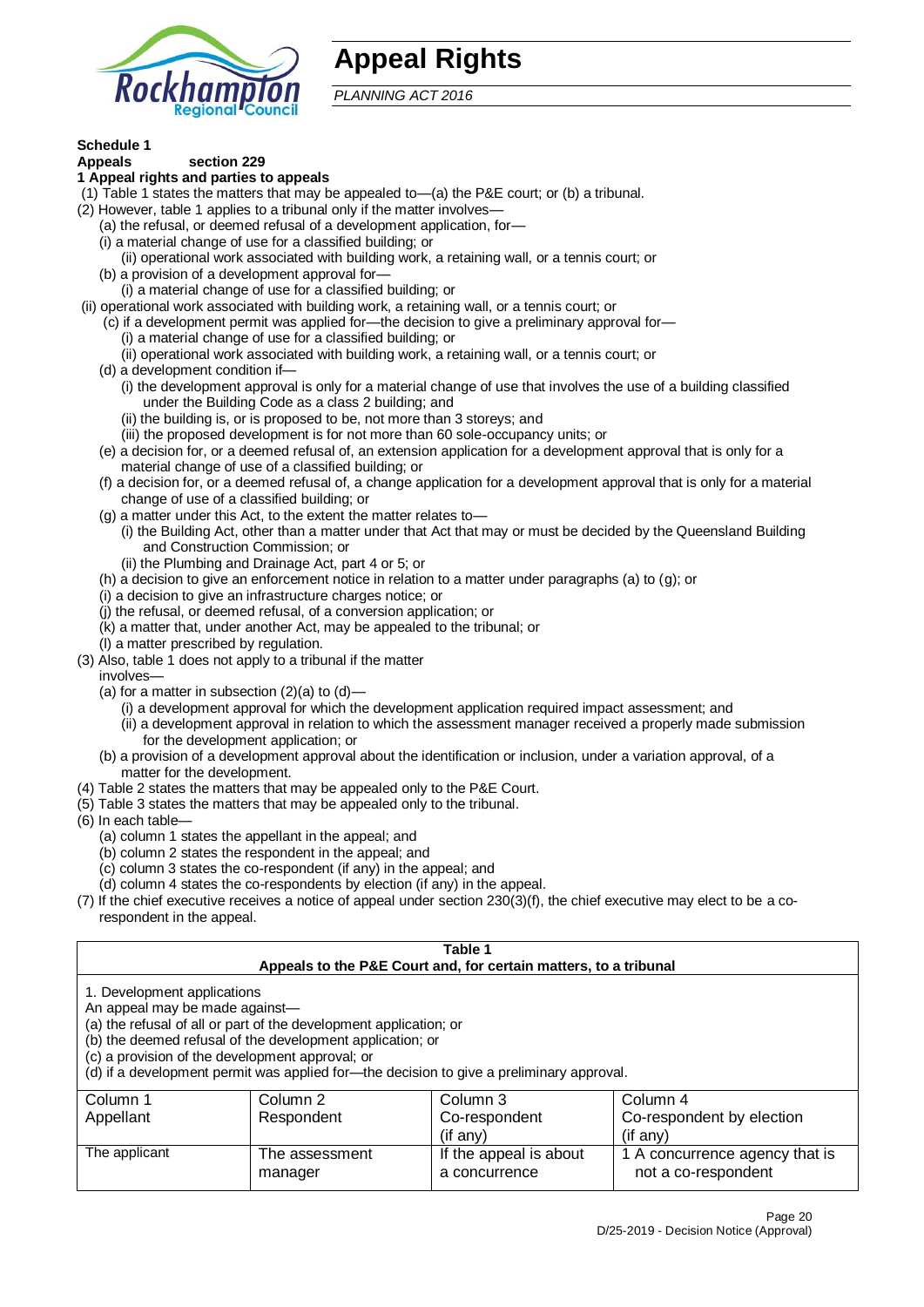

# **Appeal Rights**

*PLANNING ACT 2016*

#### **Schedule 1 Appeals section 229**

# **1 Appeal rights and parties to appeals**

- (1) Table 1 states the matters that may be appealed to—(a) the P&E court; or (b) a tribunal.
- (2) However, table 1 applies to a tribunal only if the matter involves—
	- (a) the refusal, or deemed refusal of a development application, for—
	- (i) a material change of use for a classified building; or
	- (ii) operational work associated with building work, a retaining wall, or a tennis court; or
	- (b) a provision of a development approval for—
	- (i) a material change of use for a classified building; or
- (ii) operational work associated with building work, a retaining wall, or a tennis court; or
	- (c) if a development permit was applied for—the decision to give a preliminary approval for— (i) a material change of use for a classified building; or
	- (ii) operational work associated with building work, a retaining wall, or a tennis court; or
	- (d) a development condition if—
		- (i) the development approval is only for a material change of use that involves the use of a building classified under the Building Code as a class 2 building; and
		- (ii) the building is, or is proposed to be, not more than 3 storeys; and
		- (iii) the proposed development is for not more than 60 sole-occupancy units; or
	- (e) a decision for, or a deemed refusal of, an extension application for a development approval that is only for a material change of use of a classified building; or
	- (f) a decision for, or a deemed refusal of, a change application for a development approval that is only for a material change of use of a classified building; or
	- (g) a matter under this Act, to the extent the matter relates to—
		- (i) the Building Act, other than a matter under that Act that may or must be decided by the Queensland Building and Construction Commission; or
		- (ii) the Plumbing and Drainage Act, part 4 or 5; or
	- (h) a decision to give an enforcement notice in relation to a matter under paragraphs (a) to (g); or
	- (i) a decision to give an infrastructure charges notice; or
	- (j) the refusal, or deemed refusal, of a conversion application; or
	- (k) a matter that, under another Act, may be appealed to the tribunal; or
	- (l) a matter prescribed by regulation.
- (3) Also, table 1 does not apply to a tribunal if the matter

involves—

- (a) for a matter in subsection  $(2)(a)$  to  $(d)$ 
	- (i) a development approval for which the development application required impact assessment; and
	- (ii) a development approval in relation to which the assessment manager received a properly made submission for the development application; or
- (b) a provision of a development approval about the identification or inclusion, under a variation approval, of a matter for the development.
- (4) Table 2 states the matters that may be appealed only to the P&E Court.
- (5) Table 3 states the matters that may be appealed only to the tribunal.
- (6) In each table—
	- (a) column 1 states the appellant in the appeal; and
	- (b) column 2 states the respondent in the appeal; and
	- (c) column 3 states the co-respondent (if any) in the appeal; and
	- (d) column 4 states the co-respondents by election (if any) in the appeal.
- (7) If the chief executive receives a notice of appeal under section 230(3)(f), the chief executive may elect to be a corespondent in the appeal.

| Table 1<br>Appeals to the P&E Court and, for certain matters, to a tribunal                                                                                                                                                                                                                                                                    |                                                          |                                         |                                                       |  |  |
|------------------------------------------------------------------------------------------------------------------------------------------------------------------------------------------------------------------------------------------------------------------------------------------------------------------------------------------------|----------------------------------------------------------|-----------------------------------------|-------------------------------------------------------|--|--|
| 1. Development applications<br>An appeal may be made against-<br>(a) the refusal of all or part of the development application; or<br>(b) the deemed refusal of the development application; or<br>(c) a provision of the development approval; or<br>(d) if a development permit was applied for—the decision to give a preliminary approval. |                                                          |                                         |                                                       |  |  |
| Column 1                                                                                                                                                                                                                                                                                                                                       | Column <sub>2</sub>                                      | Column 3                                | Column 4                                              |  |  |
| Appellant                                                                                                                                                                                                                                                                                                                                      | Respondent<br>Co-respondent<br>Co-respondent by election |                                         |                                                       |  |  |
| $($ if any $)$<br>$($ if any $)$                                                                                                                                                                                                                                                                                                               |                                                          |                                         |                                                       |  |  |
| The applicant                                                                                                                                                                                                                                                                                                                                  | The assessment<br>manager                                | If the appeal is about<br>a concurrence | 1 A concurrence agency that is<br>not a co-respondent |  |  |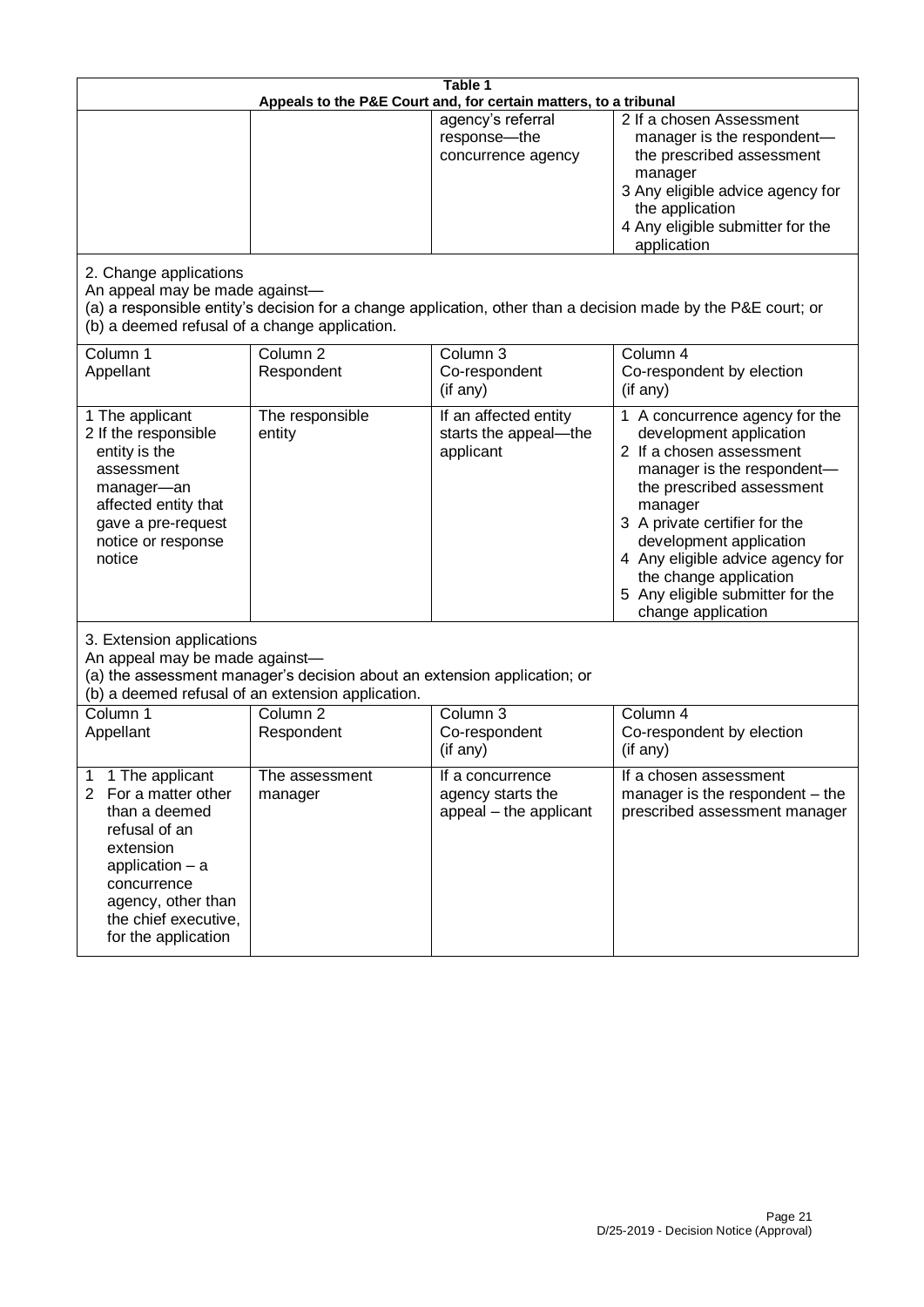| Table 1<br>Appeals to the P&E Court and, for certain matters, to a tribunal                                                                                                                                        |                                                                                                                               |                                                                 |                                                                                                                                                                                                                                                                                                                                                 |
|--------------------------------------------------------------------------------------------------------------------------------------------------------------------------------------------------------------------|-------------------------------------------------------------------------------------------------------------------------------|-----------------------------------------------------------------|-------------------------------------------------------------------------------------------------------------------------------------------------------------------------------------------------------------------------------------------------------------------------------------------------------------------------------------------------|
|                                                                                                                                                                                                                    |                                                                                                                               | agency's referral<br>response-the<br>concurrence agency         | 2 If a chosen Assessment<br>manager is the respondent-<br>the prescribed assessment<br>manager<br>3 Any eligible advice agency for<br>the application<br>4 Any eligible submitter for the<br>application                                                                                                                                        |
| 2. Change applications<br>An appeal may be made against-<br>(b) a deemed refusal of a change application.                                                                                                          |                                                                                                                               |                                                                 | (a) a responsible entity's decision for a change application, other than a decision made by the P&E court; or                                                                                                                                                                                                                                   |
| Column 1<br>Appellant                                                                                                                                                                                              | Column <sub>2</sub><br>Respondent                                                                                             | Column 3<br>Co-respondent<br>(if any)                           | Column 4<br>Co-respondent by election<br>(if any)                                                                                                                                                                                                                                                                                               |
| 1 The applicant<br>2 If the responsible<br>entity is the<br>assessment<br>manager-an<br>affected entity that<br>gave a pre-request<br>notice or response<br>notice                                                 | The responsible<br>entity                                                                                                     | If an affected entity<br>starts the appeal-the<br>applicant     | 1 A concurrence agency for the<br>development application<br>2 If a chosen assessment<br>manager is the respondent-<br>the prescribed assessment<br>manager<br>3 A private certifier for the<br>development application<br>4 Any eligible advice agency for<br>the change application<br>5 Any eligible submitter for the<br>change application |
| 3. Extension applications<br>An appeal may be made against-                                                                                                                                                        | (a) the assessment manager's decision about an extension application; or<br>(b) a deemed refusal of an extension application. |                                                                 |                                                                                                                                                                                                                                                                                                                                                 |
| Column <sub>1</sub><br>Appellant                                                                                                                                                                                   | Column <sub>2</sub><br>Respondent                                                                                             | Column $\overline{3}$<br>Co-respondent<br>(if any)              | Column 4<br>Co-respondent by election<br>(if any)                                                                                                                                                                                                                                                                                               |
| 1 The applicant<br>1<br>For a matter other<br>$\overline{2}$<br>than a deemed<br>refusal of an<br>extension<br>application - a<br>concurrence<br>agency, other than<br>the chief executive,<br>for the application | The assessment<br>manager                                                                                                     | If a concurrence<br>agency starts the<br>appeal - the applicant | If a chosen assessment<br>manager is the respondent – the<br>prescribed assessment manager                                                                                                                                                                                                                                                      |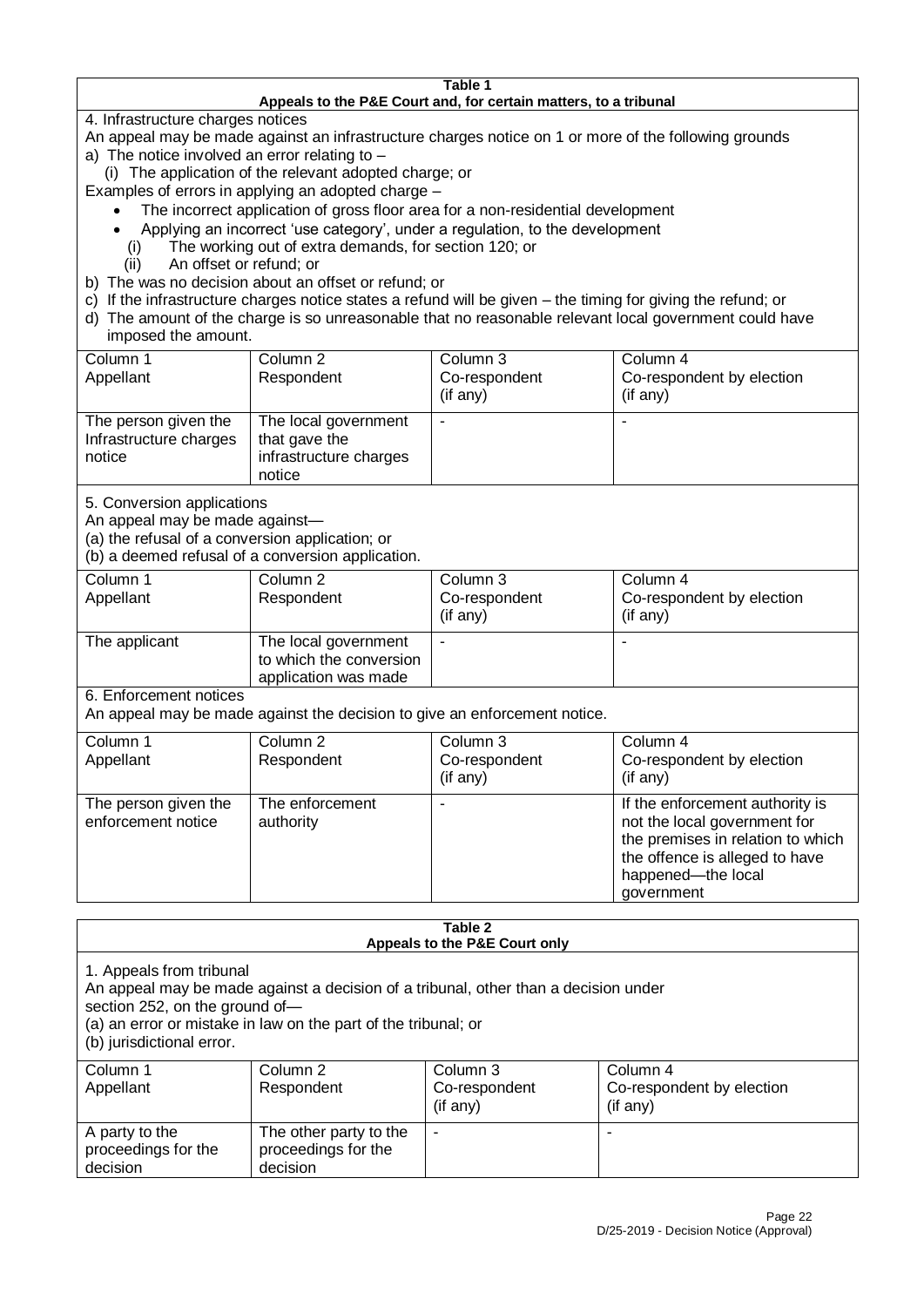#### **Table 1 Appeals to the P&E Court and, for certain matters, to a tribunal**

4. Infrastructure charges notices

- An appeal may be made against an infrastructure charges notice on 1 or more of the following grounds
- a) The notice involved an error relating to
	- (i) The application of the relevant adopted charge; or
- Examples of errors in applying an adopted charge
	- The incorrect application of gross floor area for a non-residential development
	- Applying an incorrect 'use category', under a regulation, to the development (i) The working out of extra demands, for section 120; or
	- The working out of extra demands, for section 120; or
	- (ii) An offset or refund; or
- b) The was no decision about an offset or refund; or
- c) If the infrastructure charges notice states a refund will be given the timing for giving the refund; or
- d) The amount of the charge is so unreasonable that no reasonable relevant local government could have
- imposed the amount.

| Column 1               | Column 2                                       | Column 3       | Column 4                  |
|------------------------|------------------------------------------------|----------------|---------------------------|
| Appellant              | Respondent                                     | Co-respondent  | Co-respondent by election |
|                        |                                                | $($ if any $)$ | (if any)                  |
|                        |                                                |                |                           |
|                        |                                                |                |                           |
| Infrastructure charges | that gave the                                  |                |                           |
| notice                 |                                                |                |                           |
|                        | notice                                         |                |                           |
| The person given the   | The local government<br>infrastructure charges |                |                           |

5. Conversion applications

An appeal may be made against—

(a) the refusal of a conversion application; or

(b) a deemed refusal of a conversion application.

| Column 1<br>Appellant | Column 2<br>Respondent                                                  | Column 3<br>Co-respondent<br>$($ if any $)$ | Column 4<br>Co-respondent by election<br>$($ if any $)$ |
|-----------------------|-------------------------------------------------------------------------|---------------------------------------------|---------------------------------------------------------|
| The applicant         | The local government<br>to which the conversion<br>application was made |                                             |                                                         |

6. Enforcement notices

An appeal may be made against the decision to give an enforcement notice.

| Column 1                                   | Column 2                     | Column 3      | Column 4                                                                                                                                                                   |
|--------------------------------------------|------------------------------|---------------|----------------------------------------------------------------------------------------------------------------------------------------------------------------------------|
| Appellant                                  | Respondent                   | Co-respondent | Co-respondent by election                                                                                                                                                  |
|                                            |                              | (if any)      | (if any)                                                                                                                                                                   |
| The person given the<br>enforcement notice | The enforcement<br>authority |               | If the enforcement authority is<br>not the local government for<br>the premises in relation to which<br>the offence is alleged to have<br>happened-the local<br>government |

#### **Table 2 Appeals to the P&E Court only**

1. Appeals from tribunal

An appeal may be made against a decision of a tribunal, other than a decision under

section 252, on the ground of—

(a) an error or mistake in law on the part of the tribunal; or

(b) jurisdictional error.

| Column 1<br>Appellant                             | Column 2<br>Respondent                                    | Column 3<br>Co-respondent<br>$($ if any $)$ | Column 4<br>Co-respondent by election<br>(if any) |
|---------------------------------------------------|-----------------------------------------------------------|---------------------------------------------|---------------------------------------------------|
| A party to the<br>proceedings for the<br>decision | The other party to the<br>proceedings for the<br>decision | ۰                                           |                                                   |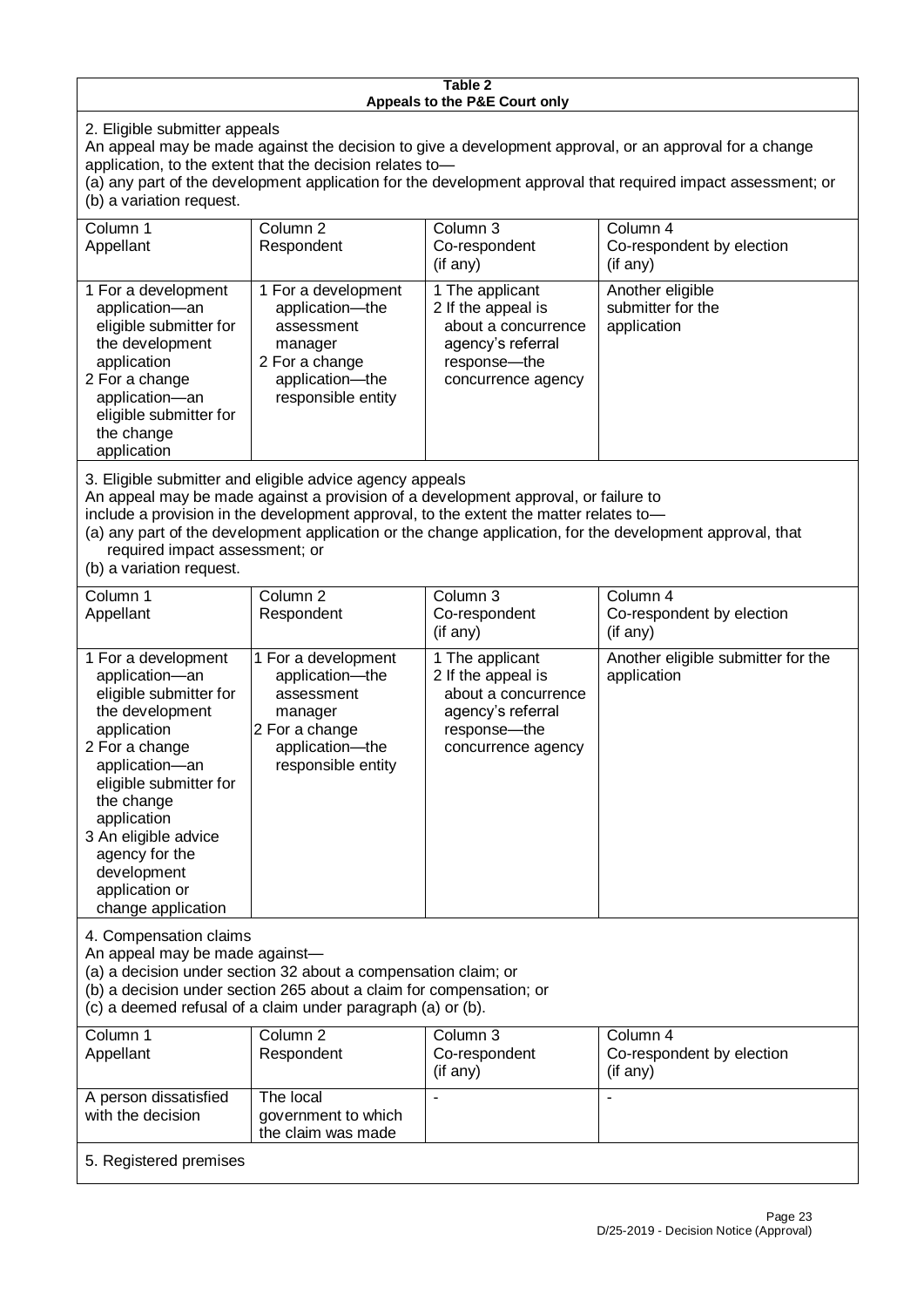#### **Table 2 Appeals to the P&E Court only**

2. Eligible submitter appeals

An appeal may be made against the decision to give a development approval, or an approval for a change application, to the extent that the decision relates to—

(a) any part of the development application for the development approval that required impact assessment; or (b) a variation request.

| Column 1                                                                              | Column 2                                                                           | Column 3            | Column 4                                                                                                  |  |
|---------------------------------------------------------------------------------------|------------------------------------------------------------------------------------|---------------------|-----------------------------------------------------------------------------------------------------------|--|
| Appellant                                                                             | Respondent                                                                         | Co-respondent       | Co-respondent by election                                                                                 |  |
|                                                                                       |                                                                                    | $($ if any $)$      | $(i f \text{ any})$                                                                                       |  |
|                                                                                       |                                                                                    |                     |                                                                                                           |  |
| 1 For a development                                                                   | 1 For a development                                                                | 1 The applicant     | Another eligible                                                                                          |  |
| application-an                                                                        | application-the                                                                    | 2 If the appeal is  | submitter for the                                                                                         |  |
| eligible submitter for                                                                | assessment                                                                         | about a concurrence | application                                                                                               |  |
|                                                                                       |                                                                                    |                     |                                                                                                           |  |
| the development                                                                       | manager                                                                            | agency's referral   |                                                                                                           |  |
| application                                                                           | 2 For a change                                                                     | response-the        |                                                                                                           |  |
| 2 For a change                                                                        | application-the                                                                    | concurrence agency  |                                                                                                           |  |
| application-an                                                                        | responsible entity                                                                 |                     |                                                                                                           |  |
| eligible submitter for                                                                |                                                                                    |                     |                                                                                                           |  |
| the change                                                                            |                                                                                    |                     |                                                                                                           |  |
|                                                                                       |                                                                                    |                     |                                                                                                           |  |
| application                                                                           |                                                                                    |                     |                                                                                                           |  |
|                                                                                       |                                                                                    |                     |                                                                                                           |  |
|                                                                                       | 3. Eligible submitter and eligible advice agency appeals                           |                     |                                                                                                           |  |
|                                                                                       | An appeal may be made against a provision of a development approval, or failure to |                     |                                                                                                           |  |
| include a provision in the development approval, to the extent the matter relates to- |                                                                                    |                     |                                                                                                           |  |
|                                                                                       |                                                                                    |                     | (a) any part of the development application or the change application, for the development approval, that |  |
|                                                                                       |                                                                                    |                     |                                                                                                           |  |
| required impact assessment; or                                                        |                                                                                    |                     |                                                                                                           |  |

(b) a variation request.

| Column 1<br>Appellant                                                                                                                                                                                                                                                                         | Column <sub>2</sub><br>Respondent                                                                                          | Column 3<br>Co-respondent<br>$(i f \text{ any})$                                                                        | Column 4<br>Co-respondent by election<br>$(i f \text{ any})$ |  |  |
|-----------------------------------------------------------------------------------------------------------------------------------------------------------------------------------------------------------------------------------------------------------------------------------------------|----------------------------------------------------------------------------------------------------------------------------|-------------------------------------------------------------------------------------------------------------------------|--------------------------------------------------------------|--|--|
| 1 For a development<br>application-an<br>eligible submitter for<br>the development<br>application<br>2 For a change<br>application-an<br>eligible submitter for<br>the change<br>application<br>3 An eligible advice<br>agency for the<br>development<br>application or<br>change application | 1 For a development<br>application-the<br>assessment<br>manager<br>2 For a change<br>application-the<br>responsible entity | 1 The applicant<br>2 If the appeal is<br>about a concurrence<br>agency's referral<br>response-the<br>concurrence agency | Another eligible submitter for the<br>application            |  |  |
| 4. Compensation claims<br>An appeal may be made against-<br>(a) a decision under section 32 about a compensation claim; or<br>(b) a decision under section 265 about a claim for compensation; or<br>(c) a deemed refusal of a claim under paragraph (a) or (b).                              |                                                                                                                            |                                                                                                                         |                                                              |  |  |
| Column 1<br>Appellant                                                                                                                                                                                                                                                                         | Column <sub>2</sub><br>Respondent                                                                                          | Column 3<br>Co-respondent<br>(if any)                                                                                   | Column 4<br>Co-respondent by election<br>(if any)            |  |  |
| A person dissatisfied<br>with the decision                                                                                                                                                                                                                                                    | The local<br>government to which<br>the claim was made                                                                     |                                                                                                                         |                                                              |  |  |
|                                                                                                                                                                                                                                                                                               |                                                                                                                            |                                                                                                                         |                                                              |  |  |

#### 5. Registered premises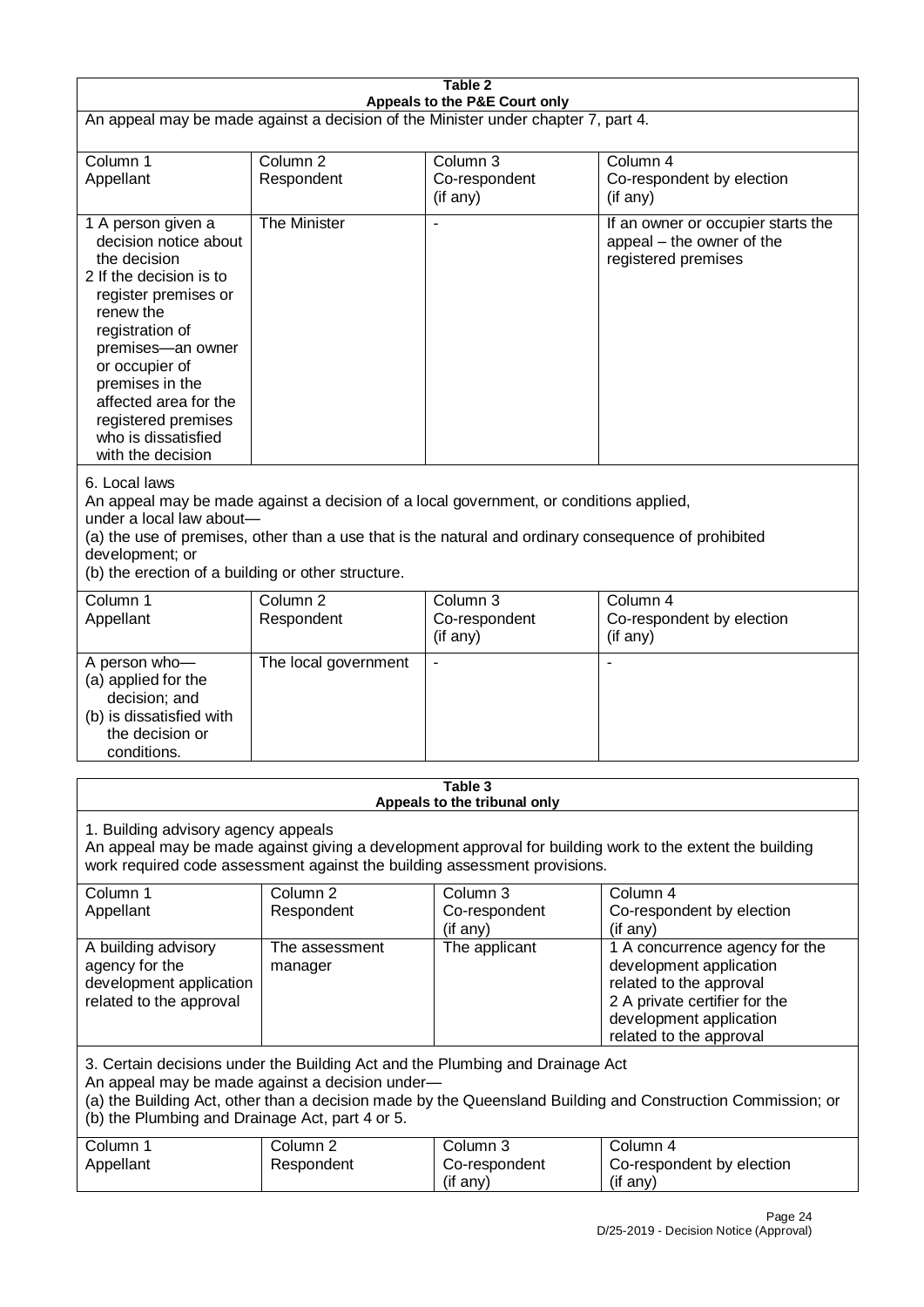| Table 2<br>Appeals to the P&E Court only                                                                                                                                                                                                                                                                             |                                   |                                       |                                                                                                                                                                             |  |  |
|----------------------------------------------------------------------------------------------------------------------------------------------------------------------------------------------------------------------------------------------------------------------------------------------------------------------|-----------------------------------|---------------------------------------|-----------------------------------------------------------------------------------------------------------------------------------------------------------------------------|--|--|
| An appeal may be made against a decision of the Minister under chapter 7, part 4.                                                                                                                                                                                                                                    |                                   |                                       |                                                                                                                                                                             |  |  |
| Column 1<br>Appellant                                                                                                                                                                                                                                                                                                | Column <sub>2</sub><br>Respondent | Column 3<br>Co-respondent<br>(if any) | Column 4<br>Co-respondent by election<br>(if any)                                                                                                                           |  |  |
| 1 A person given a<br>decision notice about<br>the decision<br>2 If the decision is to<br>register premises or<br>renew the<br>registration of<br>premises-an owner<br>or occupier of<br>premises in the<br>affected area for the<br>registered premises<br>who is dissatisfied<br>with the decision                 | The Minister                      |                                       | If an owner or occupier starts the<br>appeal – the owner of the<br>registered premises                                                                                      |  |  |
| 6. Local laws<br>An appeal may be made against a decision of a local government, or conditions applied,<br>under a local law about-<br>(a) the use of premises, other than a use that is the natural and ordinary consequence of prohibited<br>development; or<br>(b) the erection of a building or other structure. |                                   |                                       |                                                                                                                                                                             |  |  |
| Column 1<br>Appellant                                                                                                                                                                                                                                                                                                | Column <sub>2</sub><br>Respondent | Column 3<br>Co-respondent<br>(if any) | Column 4<br>Co-respondent by election<br>(if any)                                                                                                                           |  |  |
| A person who-<br>(a) applied for the<br>decision; and<br>(b) is dissatisfied with<br>the decision or<br>conditions.                                                                                                                                                                                                  | The local government              | $\blacksquare$                        |                                                                                                                                                                             |  |  |
| Table 3<br>Appeals to the tribunal only                                                                                                                                                                                                                                                                              |                                   |                                       |                                                                                                                                                                             |  |  |
| 1. Building advisory agency appeals<br>An appeal may be made against giving a development approval for building work to the extent the building<br>work required code assessment against the building assessment provisions.                                                                                         |                                   |                                       |                                                                                                                                                                             |  |  |
| Column 1<br>Appellant                                                                                                                                                                                                                                                                                                | Column <sub>2</sub><br>Respondent | Column 3<br>Co-respondent<br>(if any) | Column 4<br>Co-respondent by election<br>(if any)                                                                                                                           |  |  |
| A building advisory<br>agency for the<br>development application<br>related to the approval                                                                                                                                                                                                                          | The assessment<br>manager         | The applicant                         | 1 A concurrence agency for the<br>development application<br>related to the approval<br>2 A private certifier for the<br>development application<br>related to the approval |  |  |
| 3. Certain decisions under the Building Act and the Plumbing and Drainage Act<br>An appeal may be made against a decision under-<br>(a) the Building Act, other than a decision made by the Queensland Building and Construction Commission; or<br>(b) the Plumbing and Drainage Act, part 4 or 5.                   |                                   |                                       |                                                                                                                                                                             |  |  |
| Column 1<br>Appellant                                                                                                                                                                                                                                                                                                | Column <sub>2</sub><br>Respondent | Column 3<br>Co-respondent<br>(if any) | Column 4<br>Co-respondent by election<br>(if any)                                                                                                                           |  |  |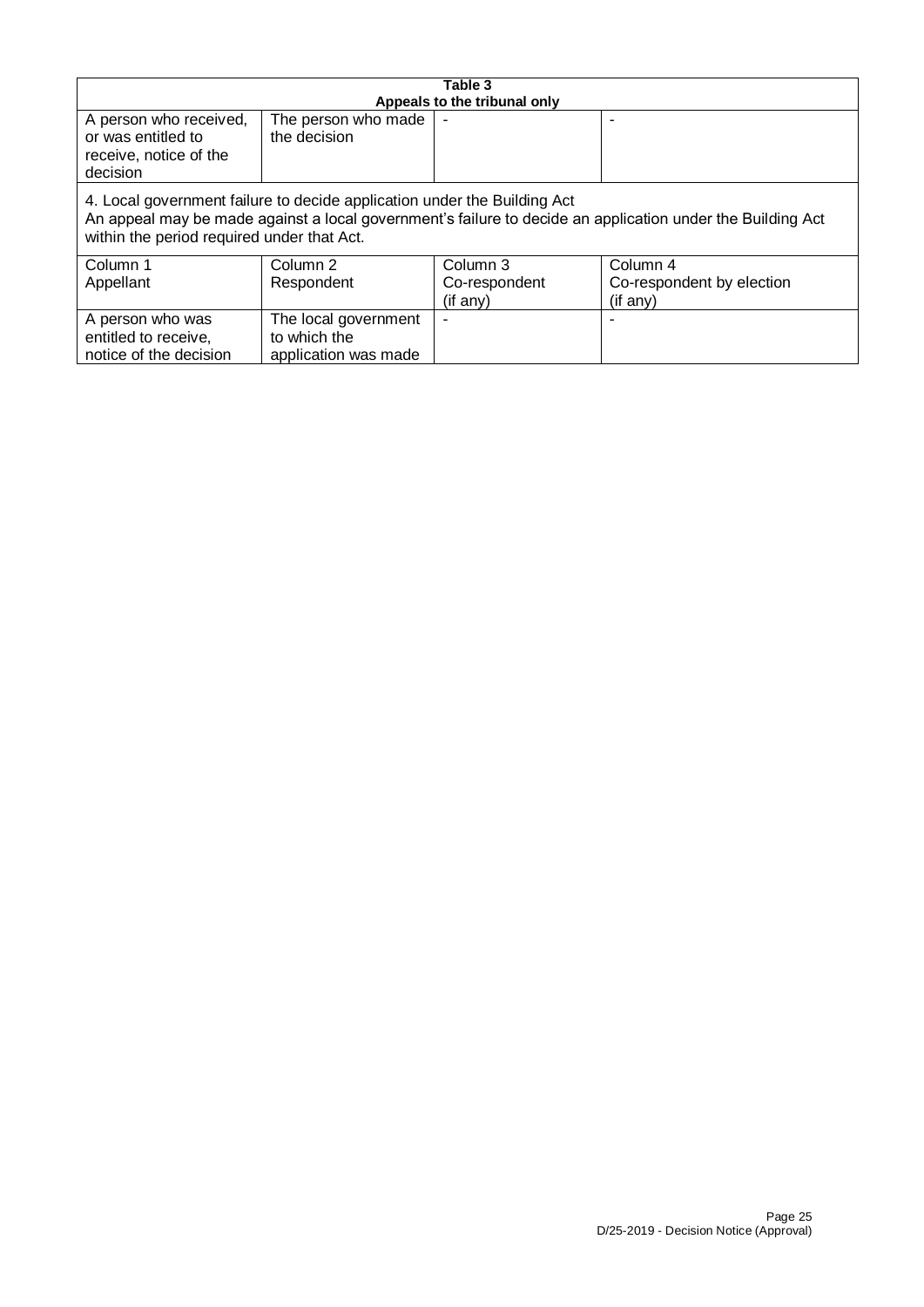| Table 3<br>Appeals to the tribunal only                                                                                                                                                                                              |                                     |               |                           |  |  |
|--------------------------------------------------------------------------------------------------------------------------------------------------------------------------------------------------------------------------------------|-------------------------------------|---------------|---------------------------|--|--|
| A person who received,<br>or was entitled to<br>receive, notice of the<br>decision                                                                                                                                                   | The person who made<br>the decision |               |                           |  |  |
| 4. Local government failure to decide application under the Building Act<br>An appeal may be made against a local government's failure to decide an application under the Building Act<br>within the period required under that Act. |                                     |               |                           |  |  |
| Column 1                                                                                                                                                                                                                             | Column 2                            | Column 3      | Column 4                  |  |  |
| Appellant                                                                                                                                                                                                                            | Respondent                          | Co-respondent | Co-respondent by election |  |  |
|                                                                                                                                                                                                                                      |                                     | (if any)      | (if any)                  |  |  |
| A person who was                                                                                                                                                                                                                     | The local government                |               |                           |  |  |
| entitled to receive,                                                                                                                                                                                                                 | to which the                        |               |                           |  |  |
| notice of the decision                                                                                                                                                                                                               | application was made                |               |                           |  |  |